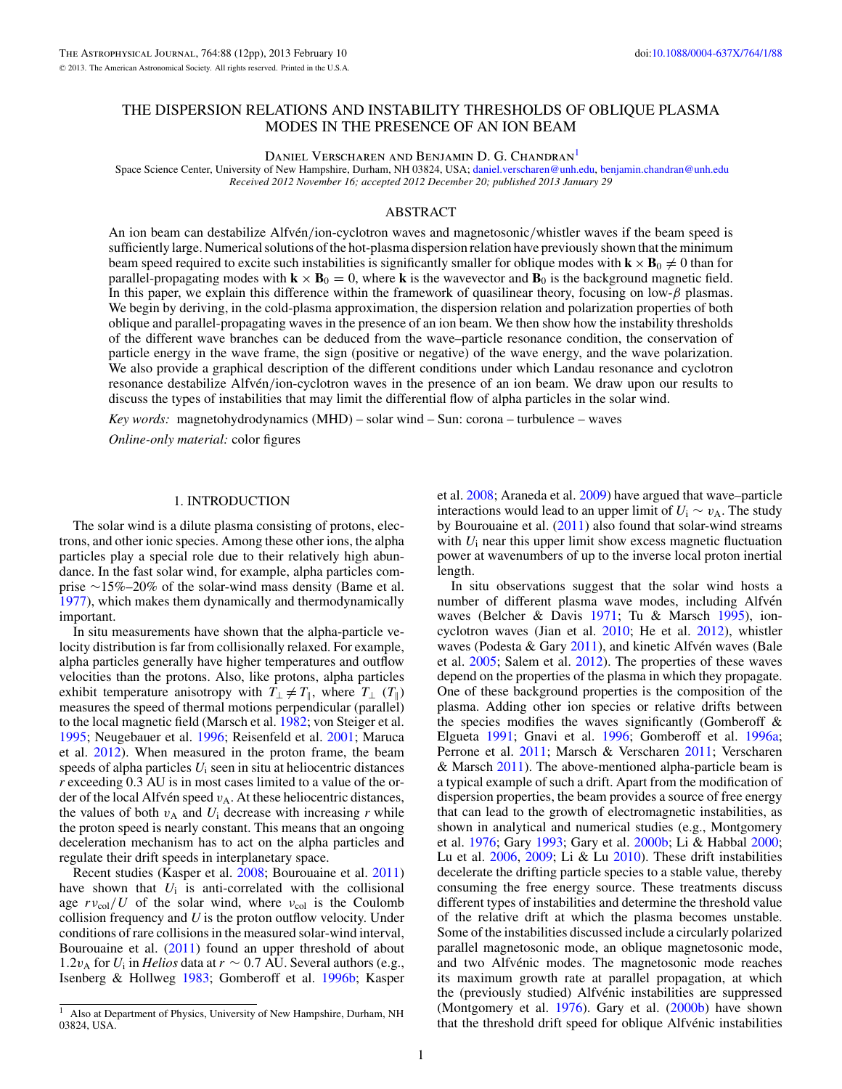# THE DISPERSION RELATIONS AND INSTABILITY THRESHOLDS OF OBLIQUE PLASMA MODES IN THE PRESENCE OF AN ION BEAM

DANIEL VERSCHAREN AND BENJAMIN D. G. CHANDRAN<sup>1</sup>

Space Science Center, University of New Hampshire, Durham, NH 03824, USA; [daniel.verscharen@unh.edu,](mailto:daniel.verscharen@unh.edu) [benjamin.chandran@unh.edu](mailto:benjamin.chandran@unh.edu) *Received 2012 November 16; accepted 2012 December 20; published 2013 January 29*

### ABSTRACT

An ion beam can destabilize Alfvén/ion-cyclotron waves and magnetosonic/whistler waves if the beam speed is sufficiently large. Numerical solutions of the hot-plasma dispersion relation have previously shown that the minimum beam speed required to excite such instabilities is significantly smaller for oblique modes with  $\mathbf{k} \times \mathbf{B}_0 \neq 0$  than for parallel-propagating modes with  $\mathbf{k} \times \mathbf{B}_0 = 0$ , where **k** is the wavevector and  $\mathbf{B}_0$  is the background magnetic field. In this paper, we explain this difference within the framework of quasilinear theory, focusing on low-*β* plasmas. We begin by deriving, in the cold-plasma approximation, the dispersion relation and polarization properties of both oblique and parallel-propagating waves in the presence of an ion beam. We then show how the instability thresholds of the different wave branches can be deduced from the wave–particle resonance condition, the conservation of particle energy in the wave frame, the sign (positive or negative) of the wave energy, and the wave polarization. We also provide a graphical description of the different conditions under which Landau resonance and cyclotron resonance destabilize Alfvén/ion-cyclotron waves in the presence of an ion beam. We draw upon our results to discuss the types of instabilities that may limit the differential flow of alpha particles in the solar wind.

*Key words:* magnetohydrodynamics (MHD) – solar wind – Sun: corona – turbulence – waves *Online-only material:* color figures

### 1. INTRODUCTION

The solar wind is a dilute plasma consisting of protons, electrons, and other ionic species. Among these other ions, the alpha particles play a special role due to their relatively high abundance. In the fast solar wind, for example, alpha particles comprise ∼15%–20% of the solar-wind mass density (Bame et al. [1977\)](#page-11-0), which makes them dynamically and thermodynamically important.

In situ measurements have shown that the alpha-particle velocity distribution is far from collisionally relaxed. For example, alpha particles generally have higher temperatures and outflow velocities than the protons. Also, like protons, alpha particles exhibit temperature anisotropy with  $T_1 \neq T_{\parallel}$ , where  $T_1$  ( $T_{\parallel}$ ) measures the speed of thermal motions perpendicular (parallel) to the local magnetic field (Marsch et al. [1982;](#page-11-0) von Steiger et al. [1995;](#page-11-0) Neugebauer et al. [1996;](#page-11-0) Reisenfeld et al. [2001;](#page-11-0) Maruca et al. [2012\)](#page-11-0). When measured in the proton frame, the beam speeds of alpha particles  $U_i$  seen in situ at heliocentric distances *r* exceeding 0.3 AU is in most cases limited to a value of the order of the local Alfvén speed  $v_A$ . At these heliocentric distances, the values of both  $v_A$  and  $U_i$  decrease with increasing  $r$  while the proton speed is nearly constant. This means that an ongoing deceleration mechanism has to act on the alpha particles and regulate their drift speeds in interplanetary space.

Recent studies (Kasper et al. [2008;](#page-11-0) Bourouaine et al. [2011\)](#page-11-0) have shown that  $U_i$  is anti-correlated with the collisional age  $rv_{\text{col}}/U$  of the solar wind, where  $v_{\text{col}}$  is the Coulomb collision frequency and *U* is the proton outflow velocity. Under conditions of rare collisions in the measured solar-wind interval, Bourouaine et al. [\(2011\)](#page-11-0) found an upper threshold of about 1.2*v*<sub>A</sub> for *U*<sub>i</sub> in *Helios* data at *r* ∼ 0.7 AU. Several authors (e.g., Isenberg & Hollweg [1983;](#page-11-0) Gomberoff et al. [1996b;](#page-11-0) Kasper

et al. [2008;](#page-11-0) Araneda et al. [2009\)](#page-11-0) have argued that wave–particle interactions would lead to an upper limit of  $U_i \sim v_A$ . The study by Bourouaine et al. [\(2011\)](#page-11-0) also found that solar-wind streams with  $U_i$  near this upper limit show excess magnetic fluctuation power at wavenumbers of up to the inverse local proton inertial length.

In situ observations suggest that the solar wind hosts a number of different plasma wave modes, including Alfvén waves (Belcher & Davis [1971;](#page-11-0) Tu & Marsch [1995\)](#page-11-0), ioncyclotron waves (Jian et al. [2010;](#page-11-0) He et al. [2012\)](#page-11-0), whistler waves (Podesta & Gary [2011\)](#page-11-0), and kinetic Alfvén waves (Bale et al. [2005;](#page-11-0) Salem et al. [2012\)](#page-11-0). The properties of these waves depend on the properties of the plasma in which they propagate. One of these background properties is the composition of the plasma. Adding other ion species or relative drifts between the species modifies the waves significantly (Gomberoff  $\&$ Elgueta [1991;](#page-11-0) Gnavi et al. [1996;](#page-11-0) Gomberoff et al. [1996a;](#page-11-0) Perrone et al. [2011;](#page-11-0) Marsch & Verscharen [2011;](#page-11-0) Verscharen & Marsch  $2011$ ). The above-mentioned alpha-particle beam is a typical example of such a drift. Apart from the modification of dispersion properties, the beam provides a source of free energy that can lead to the growth of electromagnetic instabilities, as shown in analytical and numerical studies (e.g., Montgomery et al. [1976;](#page-11-0) Gary [1993;](#page-11-0) Gary et al. [2000b;](#page-11-0) Li & Habbal [2000;](#page-11-0) Lu et al.  $2006$ ,  $2009$ ; Li & Lu  $2010$ ). These drift instabilities decelerate the drifting particle species to a stable value, thereby consuming the free energy source. These treatments discuss different types of instabilities and determine the threshold value of the relative drift at which the plasma becomes unstable. Some of the instabilities discussed include a circularly polarized parallel magnetosonic mode, an oblique magnetosonic mode, and two Alfvénic modes. The magnetosonic mode reaches its maximum growth rate at parallel propagation, at which the (previously studied) Alfvénic instabilities are suppressed (Montgomery et al.  $1976$ ). Gary et al.  $(2000b)$  have shown that the threshold drift speed for oblique Alfvénic instabilities

<sup>&</sup>lt;sup>1</sup> Also at Department of Physics, University of New Hampshire, Durham, NH 03824, USA.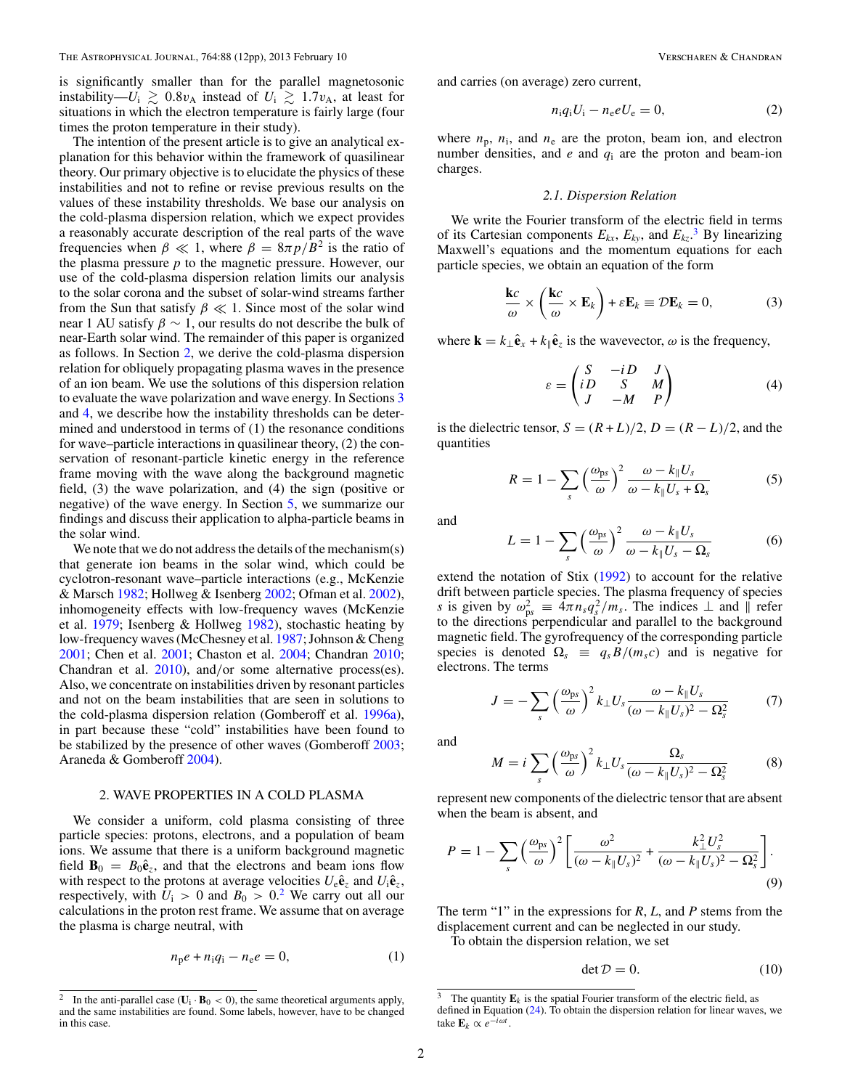<span id="page-1-0"></span>is significantly smaller than for the parallel magnetosonic instability— $U_i \gtrsim 0.8v_A$  instead of  $U_i \gtrsim 1.7v_A$ , at least for situations in which the electron temperature is fairly large (four times the proton temperature in their study).

The intention of the present article is to give an analytical explanation for this behavior within the framework of quasilinear theory. Our primary objective is to elucidate the physics of these instabilities and not to refine or revise previous results on the values of these instability thresholds. We base our analysis on the cold-plasma dispersion relation, which we expect provides a reasonably accurate description of the real parts of the wave frequencies when  $\beta \ll 1$ , where  $\beta = 8\pi p/B^2$  is the ratio of the plasma pressure *p* to the magnetic pressure. However, our use of the cold-plasma dispersion relation limits our analysis to the solar corona and the subset of solar-wind streams farther from the Sun that satisfy  $\beta \ll 1$ . Since most of the solar wind near 1 AU satisfy  $\beta \sim 1$ , our results do not describe the bulk of near-Earth solar wind. The remainder of this paper is organized as follows. In Section 2, we derive the cold-plasma dispersion relation for obliquely propagating plasma waves in the presence of an ion beam. We use the solutions of this dispersion relation to evaluate the wave polarization and wave energy. In Sections [3](#page-4-0) and [4,](#page-5-0) we describe how the instability thresholds can be determined and understood in terms of (1) the resonance conditions for wave–particle interactions in quasilinear theory, (2) the conservation of resonant-particle kinetic energy in the reference frame moving with the wave along the background magnetic field, (3) the wave polarization, and (4) the sign (positive or negative) of the wave energy. In Section [5,](#page-8-0) we summarize our findings and discuss their application to alpha-particle beams in the solar wind.

We note that we do not address the details of the mechanism(s) that generate ion beams in the solar wind, which could be cyclotron-resonant wave–particle interactions (e.g., McKenzie & Marsch [1982;](#page-11-0) Hollweg & Isenberg [2002;](#page-11-0) Ofman et al. [2002\)](#page-11-0), inhomogeneity effects with low-frequency waves (McKenzie et al. [1979;](#page-11-0) Isenberg & Hollweg [1982\)](#page-11-0), stochastic heating by low-frequency waves (McChesney et al. [1987;](#page-11-0) Johnson & Cheng [2001;](#page-11-0) Chen et al. [2001;](#page-11-0) Chaston et al. [2004;](#page-11-0) Chandran [2010;](#page-11-0) Chandran et al. [2010\)](#page-11-0), and*/*or some alternative process(es). Also, we concentrate on instabilities driven by resonant particles and not on the beam instabilities that are seen in solutions to the cold-plasma dispersion relation (Gomberoff et al. [1996a\)](#page-11-0), in part because these "cold" instabilities have been found to be stabilized by the presence of other waves (Gomberoff [2003;](#page-11-0) Araneda & Gomberoff [2004\)](#page-11-0).

#### 2. WAVE PROPERTIES IN A COLD PLASMA

We consider a uniform, cold plasma consisting of three particle species: protons, electrons, and a population of beam ions. We assume that there is a uniform background magnetic field  $\mathbf{B}_0 = B_0 \hat{\mathbf{e}}_z$ , and that the electrons and beam ions flow with respect to the protons at average velocities  $U_e \hat{\mathbf{e}}_z$  and  $U_i \hat{\mathbf{e}}_z$ , respectively, with  $U_i > 0$  and  $B_0 > 0^2$ . We carry out all our calculations in the proton rest frame. We assume that on average the plasma is charge neutral, with

$$
n_{\rm p}e + n_{\rm i}q_{\rm i} - n_{\rm e}e = 0,\tag{1}
$$

and carries (on average) zero current,

$$
n_i q_i U_i - n_e e U_e = 0,\t\t(2)
$$

where  $n_p$ ,  $n_i$ , and  $n_e$  are the proton, beam ion, and electron number densities, and *e* and *q*<sup>i</sup> are the proton and beam-ion charges.

### *2.1. Dispersion Relation*

We write the Fourier transform of the electric field in terms of its Cartesian components  $E_{kx}$ ,  $E_{ky}$ , and  $E_{kz}$ .<sup>3</sup> By linearizing Maxwell's equations and the momentum equations for each particle species, we obtain an equation of the form

$$
\frac{\mathbf{k}c}{\omega} \times \left(\frac{\mathbf{k}c}{\omega} \times \mathbf{E}_k\right) + \varepsilon \mathbf{E}_k \equiv \mathcal{D}\mathbf{E}_k = 0, \tag{3}
$$

where  $\mathbf{k} = k_{\perp} \hat{\mathbf{e}}_x + k_{\parallel} \hat{\mathbf{e}}_z$  is the wavevector,  $\omega$  is the frequency,

$$
\varepsilon = \begin{pmatrix} S & -iD & J \\ iD & S & M \\ J & -M & P \end{pmatrix}
$$
 (4)

is the dielectric tensor,  $S = (R + L)/2$ ,  $D = (R - L)/2$ , and the quantities

$$
R = 1 - \sum_{s} \left(\frac{\omega_{\text{ps}}}{\omega}\right)^2 \frac{\omega - k_{\parallel} U_s}{\omega - k_{\parallel} U_s + \Omega_s} \tag{5}
$$

and

$$
L = 1 - \sum_{s} \left(\frac{\omega_{\text{ps}}}{\omega}\right)^2 \frac{\omega - k_{\parallel} U_s}{\omega - k_{\parallel} U_s - \Omega_s} \tag{6}
$$

extend the notation of Stix [\(1992\)](#page-11-0) to account for the relative drift between particle species. The plasma frequency of species *s* is given by  $\omega_{ps}^2 \equiv 4\pi n_s q_s^2 / m_s$ . The indices  $\perp$  and  $\parallel$  refer to the directions perpendicular and parallel to the background magnetic field. The gyrofrequency of the corresponding particle species is denoted  $\Omega_s \equiv q_s B/(m_s c)$  and is negative for electrons. The terms

$$
J = -\sum_{s} \left(\frac{\omega_{\text{ps}}}{\omega}\right)^2 k_{\perp} U_s \frac{\omega - k_{\parallel} U_s}{(\omega - k_{\parallel} U_s)^2 - \Omega_s^2} \tag{7}
$$

and

$$
M = i \sum_{s} \left(\frac{\omega_{\text{ps}}}{\omega}\right)^2 k_{\perp} U_{s} \frac{\Omega_{s}}{(\omega - k_{\parallel} U_{s})^2 - \Omega_{s}^2}
$$
(8)

represent new components of the dielectric tensor that are absent when the beam is absent, and

$$
P = 1 - \sum_{s} \left(\frac{\omega_{\text{ps}}}{\omega}\right)^2 \left[\frac{\omega^2}{(\omega - k_{\parallel} U_s)^2} + \frac{k_{\perp}^2 U_s^2}{(\omega - k_{\parallel} U_s)^2 - \Omega_s^2}\right].
$$
\n(9)

The term "1" in the expressions for *R*, *L*, and *P* stems from the displacement current and can be neglected in our study.

To obtain the dispersion relation, we set

$$
\det \mathcal{D} = 0. \tag{10}
$$

<sup>&</sup>lt;sup>2</sup> In the anti-parallel case ( $U_i \cdot B_0 < 0$ ), the same theoretical arguments apply, and the same instabilities are found. Some labels, however, have to be changed in this case.

<sup>&</sup>lt;sup>3</sup> The quantity  $\mathbf{E}_k$  is the spatial Fourier transform of the electric field, as defined in Equation [\(24\)](#page-3-0). To obtain the dispersion relation for linear waves, we take  $\mathbf{E}_k \propto e^{-i\omega t}$ .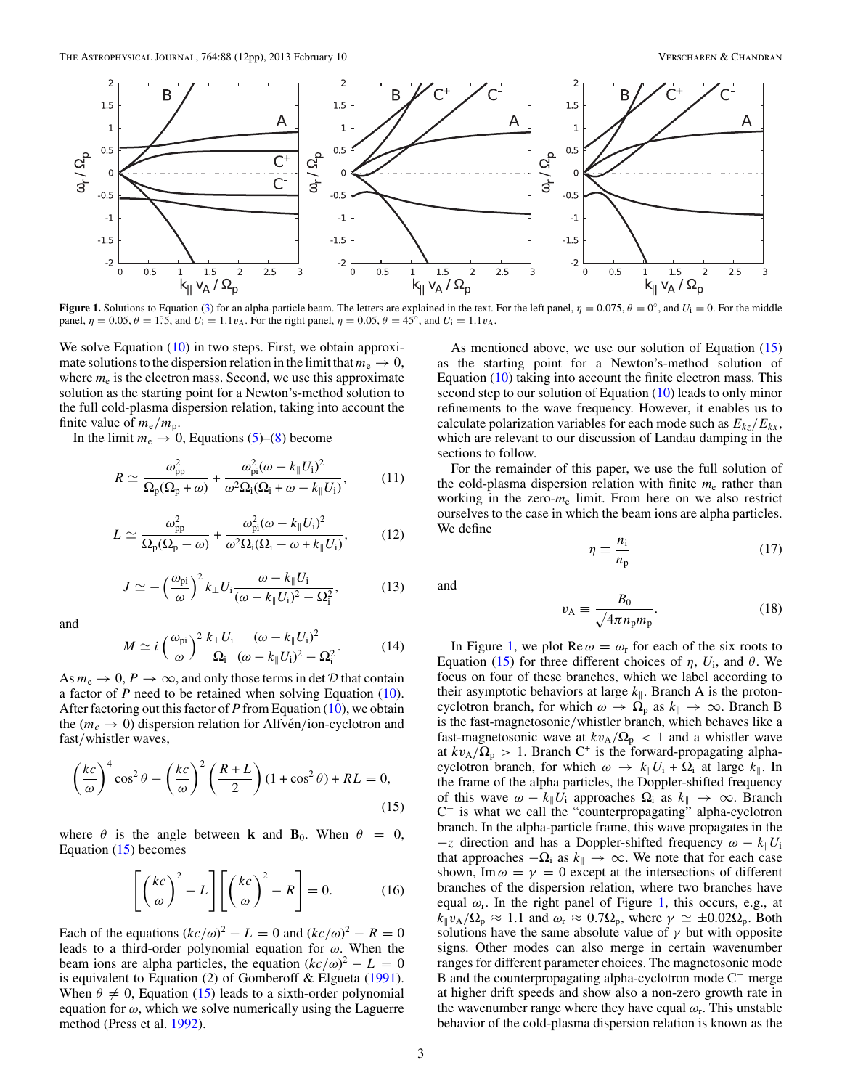<span id="page-2-0"></span>

**Figure 1.** Solutions to Equation [\(3\)](#page-1-0) for an alpha-particle beam. The letters are explained in the text. For the left panel,  $\eta = 0.075$ ,  $\theta = 0^\circ$ , and  $U_i = 0$ . For the middle panel,  $\eta = 0.05$ ,  $\theta = 1.5$ , and  $U_i = 1.1v_A$ . For the right panel,  $\eta = 0.05$ ,  $\theta = 45^\circ$ , and  $U_i = 1.1v_A$ .

We solve Equation [\(10\)](#page-1-0) in two steps. First, we obtain approximate solutions to the dispersion relation in the limit that  $m_e \to 0$ , where  $m_e$  is the electron mass. Second, we use this approximate solution as the starting point for a Newton's-method solution to the full cold-plasma dispersion relation, taking into account the finite value of  $m_e/m_p$ .

In the limit  $m_e \rightarrow 0$ , Equations [\(5\)](#page-1-0)–[\(8\)](#page-1-0) become

$$
R \simeq \frac{\omega_{\rm pp}^2}{\Omega_{\rm p}(\Omega_{\rm p}+\omega)} + \frac{\omega_{\rm pi}^2(\omega - k_{\parallel}U_{\rm i})^2}{\omega^2 \Omega_{\rm i}(\Omega_{\rm i} + \omega - k_{\parallel}U_{\rm i})},\tag{11}
$$

$$
L \simeq \frac{\omega_{\rm pp}^2}{\Omega_{\rm p}(\Omega_{\rm p} - \omega)} + \frac{\omega_{\rm pi}^2 (\omega - k_{\parallel} U_{\rm i})^2}{\omega^2 \Omega_{\rm i}(\Omega_{\rm i} - \omega + k_{\parallel} U_{\rm i})},\tag{12}
$$

$$
J \simeq -\left(\frac{\omega_{\rm pi}}{\omega}\right)^2 k_{\perp} U_{\rm i} \frac{\omega - k_{\parallel} U_{\rm i}}{(\omega - k_{\parallel} U_{\rm i})^2 - \Omega_{\rm i}^2},\tag{13}
$$

and

$$
M \simeq i \left(\frac{\omega_{\rm pi}}{\omega}\right)^2 \frac{k_{\perp} U_{\rm i}}{\Omega_{\rm i}} \frac{(\omega - k_{\parallel} U_{\rm i})^2}{(\omega - k_{\parallel} U_{\rm i})^2 - \Omega_{\rm i}^2}.
$$
 (14)

As  $m_e \to 0$ ,  $P \to \infty$ , and only those terms in det D that contain a factor of *P* need to be retained when solving Equation [\(10\)](#page-1-0). After factoring out this factor of *P* from Equation [\(10\)](#page-1-0), we obtain the  $(m_e \rightarrow 0)$  dispersion relation for Alfvén/ion-cyclotron and fast*/*whistler waves,

$$
\left(\frac{kc}{\omega}\right)^4 \cos^2 \theta - \left(\frac{kc}{\omega}\right)^2 \left(\frac{R+L}{2}\right) (1 + \cos^2 \theta) + RL = 0,
$$
\n(15)

where  $\theta$  is the angle between **k** and **B**<sub>0</sub>. When  $\theta = 0$ , Equation (15) becomes

$$
\left[ \left( \frac{kc}{\omega} \right)^2 - L \right] \left[ \left( \frac{kc}{\omega} \right)^2 - R \right] = 0. \tag{16}
$$

Each of the equations  $(kc/\omega)^2 - L = 0$  and  $(kc/\omega)^2 - R = 0$ leads to a third-order polynomial equation for *ω*. When the beam ions are alpha particles, the equation  $(kc/\omega)^2 - L = 0$ is equivalent to Equation (2) of Gomberoff & Elgueta [\(1991\)](#page-11-0). When  $\theta \neq 0$ , Equation (15) leads to a sixth-order polynomial equation for *ω*, which we solve numerically using the Laguerre method (Press et al. [1992\)](#page-11-0).

As mentioned above, we use our solution of Equation (15) as the starting point for a Newton's-method solution of Equation [\(10\)](#page-1-0) taking into account the finite electron mass. This second step to our solution of Equation [\(10\)](#page-1-0) leads to only minor refinements to the wave frequency. However, it enables us to calculate polarization variables for each mode such as  $E_{kz}/E_{kx}$ , which are relevant to our discussion of Landau damping in the sections to follow.

For the remainder of this paper, we use the full solution of the cold-plasma dispersion relation with finite  $m<sub>e</sub>$  rather than working in the zero-*m*<sup>e</sup> limit. From here on we also restrict ourselves to the case in which the beam ions are alpha particles. We define

$$
\eta \equiv \frac{n_{\rm i}}{n_{\rm p}}\tag{17}
$$

and

$$
v_{\rm A} \equiv \frac{B_0}{\sqrt{4\pi n_{\rm p} m_{\rm p}}}.\tag{18}
$$

In Figure 1, we plot  $\text{Re } \omega = \omega_r$  for each of the six roots to Equation (15) for three different choices of  $η$ ,  $U_i$ , and  $θ$ . We focus on four of these branches, which we label according to their asymptotic behaviors at large  $k_{\parallel}$ . Branch A is the protoncyclotron branch, for which  $\omega \to \Omega_p$  as  $k_{\parallel} \to \infty$ . Branch B is the fast-magnetosonic*/*whistler branch, which behaves like a fast-magnetosonic wave at  $kv_A/\Omega_p < 1$  and a whistler wave at  $kv_A/\Omega_p > 1$ . Branch C<sup>+</sup> is the forward-propagating alphacyclotron branch, for which  $\omega \to k_{\parallel} U_i + \Omega_i$  at large  $k_{\parallel}$ . In the frame of the alpha particles, the Doppler-shifted frequency of this wave  $\omega - k_{\parallel} U_i$  approaches  $\Omega_i$  as  $k_{\parallel} \rightarrow \infty$ . Branch C<sup>−</sup> is what we call the "counterpropagating" alpha-cyclotron branch. In the alpha-particle frame, this wave propagates in the  $-z$  direction and has a Doppler-shifted frequency  $\omega - k_{\parallel} U_i$ that approaches  $-\Omega_i$  as  $k_{\parallel} \to \infty$ . We note that for each case shown, Im  $\omega = \gamma = 0$  except at the intersections of different branches of the dispersion relation, where two branches have equal  $\omega_r$ . In the right panel of Figure 1, this occurs, e.g., at  $k_{\parallel}v_{A}/\Omega_{\rm p} \approx 1.1$  and  $\omega_{\rm r} \approx 0.7\Omega_{\rm p}$ , where  $\gamma \simeq \pm 0.02\Omega_{\rm p}$ . Both solutions have the same absolute value of  $\gamma$  but with opposite signs. Other modes can also merge in certain wavenumber ranges for different parameter choices. The magnetosonic mode B and the counterpropagating alpha-cyclotron mode C<sup>−</sup> merge at higher drift speeds and show also a non-zero growth rate in the wavenumber range where they have equal  $\omega_r$ . This unstable behavior of the cold-plasma dispersion relation is known as the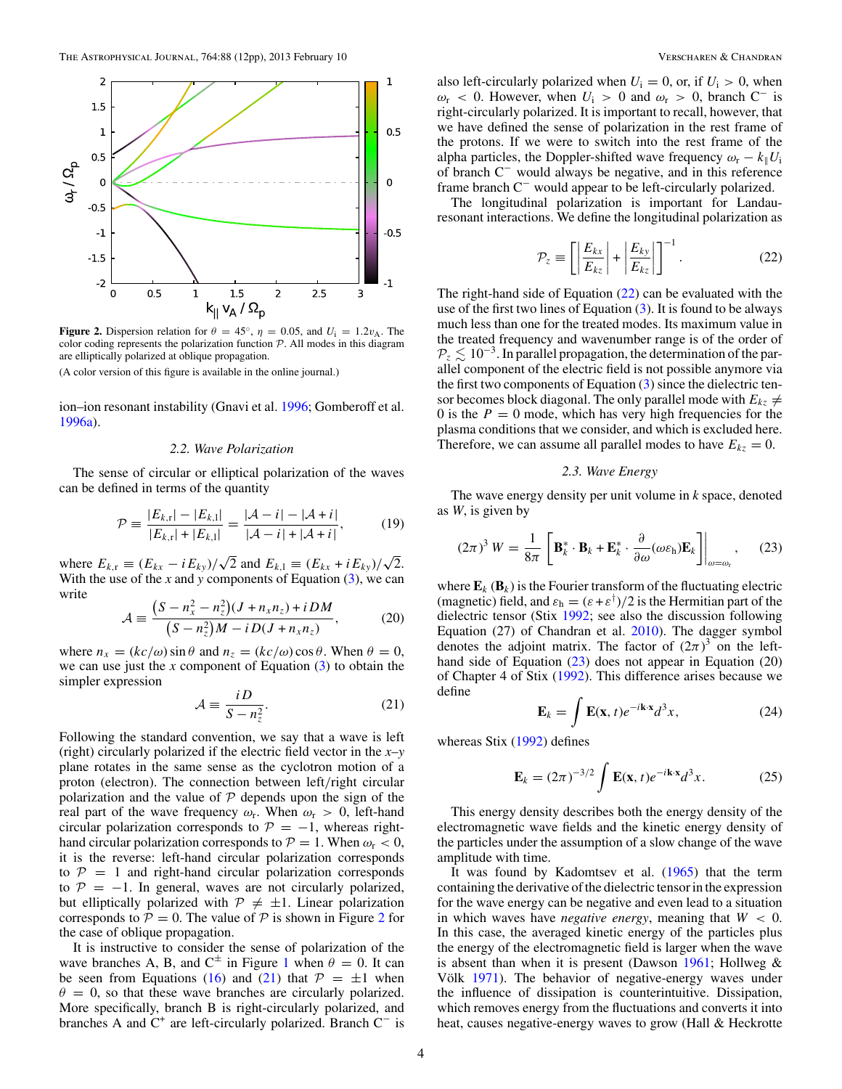<span id="page-3-0"></span>

**Figure 2.** Dispersion relation for  $\theta = 45^\circ$ ,  $\eta = 0.05$ , and  $U_i = 1.2v_A$ . The color coding represents the polarization function  $P$ . All modes in this diagram are elliptically polarized at oblique propagation.

ion–ion resonant instability (Gnavi et al. [1996;](#page-11-0) Gomberoff et al. [1996a\)](#page-11-0).

#### *2.2. Wave Polarization*

The sense of circular or elliptical polarization of the waves can be defined in terms of the quantity

$$
\mathcal{P} \equiv \frac{|E_{k,r}| - |E_{k,l}|}{|E_{k,r}| + |E_{k,l}|} = \frac{|\mathcal{A} - i| - |\mathcal{A} + i|}{|\mathcal{A} - i| + |\mathcal{A} + i|},\tag{19}
$$

where  $E_{k,r} \equiv (E_{kx} - iE_{ky})/\sqrt{2}$  and  $E_{k,1} \equiv (E_{kx} + iE_{ky})/\sqrt{2}$ . With the use of the  $x$  and  $y$  components of Equation  $(3)$ , we can write

$$
\mathcal{A} \equiv \frac{\left(S - n_x^2 - n_z^2\right)(J + n_x n_z) + i DM}{\left(S - n_z^2\right)M - i D (J + n_x n_z)},\tag{20}
$$

where  $n_x = (kc/\omega) \sin \theta$  and  $n_z = (kc/\omega) \cos \theta$ . When  $\theta = 0$ , we can use just the *x* component of Equation [\(3\)](#page-1-0) to obtain the simpler expression

$$
\mathcal{A} \equiv \frac{iD}{S - n_z^2}.\tag{21}
$$

Following the standard convention, we say that a wave is left (right) circularly polarized if the electric field vector in the *x*–*y* plane rotates in the same sense as the cyclotron motion of a proton (electron). The connection between left*/*right circular polarization and the value of  $P$  depends upon the sign of the real part of the wave frequency  $\omega_r$ . When  $\omega_r > 0$ , left-hand circular polarization corresponds to  $P = -1$ , whereas righthand circular polarization corresponds to  $P = 1$ . When  $\omega_r < 0$ , it is the reverse: left-hand circular polarization corresponds to  $P = 1$  and right-hand circular polarization corresponds to  $P = -1$ . In general, waves are not circularly polarized, but elliptically polarized with  $P \neq \pm 1$ . Linear polarization corresponds to  $P = 0$ . The value of P is shown in Figure 2 for the case of oblique propagation.

It is instructive to consider the sense of polarization of the wave branches A, B, and  $C^{\pm}$  in Figure [1](#page-2-0) when  $\theta = 0$ . It can be seen from Equations [\(16\)](#page-2-0) and (21) that  $P = \pm 1$  when  $\theta = 0$ , so that these wave branches are circularly polarized. More specifically, branch B is right-circularly polarized, and branches A and  $C^+$  are left-circularly polarized. Branch  $C^-$  is also left-circularly polarized when  $U_i = 0$ , or, if  $U_i > 0$ , when  $\omega_r$  < 0. However, when  $U_i$  > 0 and  $\omega_r$  > 0, branch C<sup>−</sup> is right-circularly polarized. It is important to recall, however, that we have defined the sense of polarization in the rest frame of the protons. If we were to switch into the rest frame of the alpha particles, the Doppler-shifted wave frequency  $\omega_r - k_{\parallel} U_i$ of branch C<sup>−</sup> would always be negative, and in this reference frame branch C<sup>−</sup> would appear to be left-circularly polarized.

The longitudinal polarization is important for Landauresonant interactions. We define the longitudinal polarization as

$$
\mathcal{P}_z \equiv \left[ \left| \frac{E_{kx}}{E_{kz}} \right| + \left| \frac{E_{ky}}{E_{kz}} \right| \right]^{-1} . \tag{22}
$$

The right-hand side of Equation (22) can be evaluated with the use of the first two lines of Equation  $(3)$ . It is found to be always much less than one for the treated modes. Its maximum value in the treated frequency and wavenumber range is of the order of  $P_z \lesssim 10^{-3}$ . In parallel propagation, the determination of the parallel component of the electric field is not possible anymore via the first two components of Equation [\(3\)](#page-1-0) since the dielectric tensor becomes block diagonal. The only parallel mode with  $E_{kz} \neq$ 0 is the  $P = 0$  mode, which has very high frequencies for the plasma conditions that we consider, and which is excluded here. Therefore, we can assume all parallel modes to have  $E_{kz} = 0$ .

#### *2.3. Wave Energy*

The wave energy density per unit volume in *k* space, denoted as *W*, is given by

$$
(2\pi)^3 W = \frac{1}{8\pi} \left[ \mathbf{B}_k^* \cdot \mathbf{B}_k + \mathbf{E}_k^* \cdot \frac{\partial}{\partial \omega} (\omega \varepsilon_{\mathbf{h}}) \mathbf{E}_k \right] \bigg|_{\omega = \omega_{\mathbf{r}}}, \qquad (23)
$$

where  $\mathbf{E}_k$  ( $\mathbf{B}_k$ ) is the Fourier transform of the fluctuating electric (magnetic) field, and  $\varepsilon_h = (\varepsilon + \varepsilon^{\dagger})/2$  is the Hermitian part of the dielectric tensor (Stix [1992;](#page-11-0) see also the discussion following Equation (27) of Chandran et al. [2010\)](#page-11-0). The dagger symbol denotes the adjoint matrix. The factor of  $(2\pi)^3$  on the lefthand side of Equation (23) does not appear in Equation (20) of Chapter 4 of Stix [\(1992\)](#page-11-0). This difference arises because we define

$$
\mathbf{E}_k = \int \mathbf{E}(\mathbf{x}, t) e^{-i\mathbf{k}\cdot\mathbf{x}} d^3 x,\tag{24}
$$

whereas Stix [\(1992\)](#page-11-0) defines

$$
\mathbf{E}_k = (2\pi)^{-3/2} \int \mathbf{E}(\mathbf{x}, t) e^{-i\mathbf{k} \cdot \mathbf{x}} d^3 x.
$$
 (25)

This energy density describes both the energy density of the electromagnetic wave fields and the kinetic energy density of the particles under the assumption of a slow change of the wave amplitude with time.

It was found by Kadomtsev et al. [\(1965\)](#page-11-0) that the term containing the derivative of the dielectric tensor in the expression for the wave energy can be negative and even lead to a situation in which waves have *negative energy*, meaning that *W <* 0. In this case, the averaged kinetic energy of the particles plus the energy of the electromagnetic field is larger when the wave is absent than when it is present (Dawson  $1961$ ; Hollweg & Völk [1971\)](#page-11-0). The behavior of negative-energy waves under the influence of dissipation is counterintuitive. Dissipation, which removes energy from the fluctuations and converts it into heat, causes negative-energy waves to grow (Hall & Heckrotte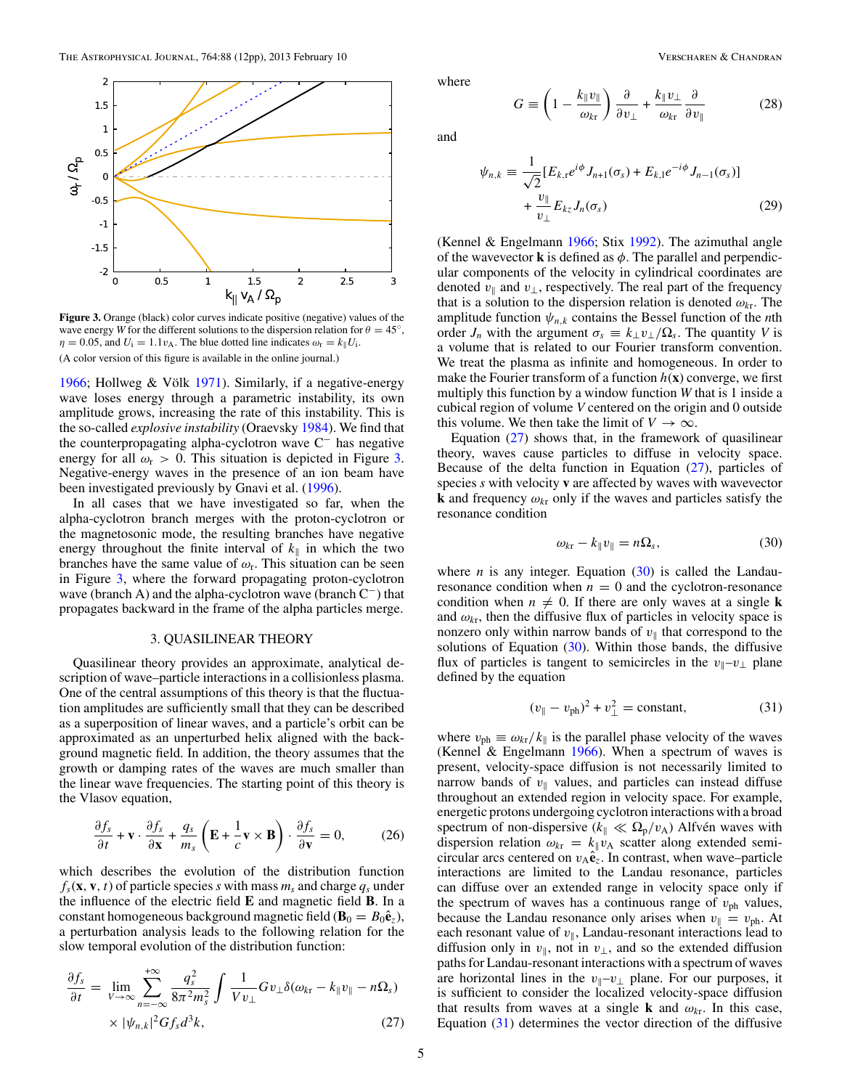(28)

*∂ ∂v*

<span id="page-4-0"></span>

**Figure 3.** Orange (black) color curves indicate positive (negative) values of the wave energy *W* for the different solutions to the dispersion relation for  $\theta = 45^\circ$ ,  $\eta = 0.05$ , and  $U_i = 1.1v_A$ . The blue dotted line indicates  $\omega_r = k_{\parallel} U_i$ . (A color version of this figure is available in the online journal.)

[1966;](#page-11-0) Hollweg & Völk [1971\)](#page-11-0). Similarly, if a negative-energy wave loses energy through a parametric instability, its own amplitude grows, increasing the rate of this instability. This is the so-called *explosive instability* (Oraevsky [1984\)](#page-11-0). We find that the counterpropagating alpha-cyclotron wave C<sup>−</sup> has negative energy for all  $\omega_r > 0$ . This situation is depicted in Figure 3. Negative-energy waves in the presence of an ion beam have been investigated previously by Gnavi et al. [\(1996\)](#page-11-0).

In all cases that we have investigated so far, when the alpha-cyclotron branch merges with the proton-cyclotron or the magnetosonic mode, the resulting branches have negative energy throughout the finite interval of  $k_{\parallel}$  in which the two branches have the same value of  $\omega_r$ . This situation can be seen in Figure 3, where the forward propagating proton-cyclotron wave (branch A) and the alpha-cyclotron wave (branch C−) that propagates backward in the frame of the alpha particles merge.

### 3. QUASILINEAR THEORY

Quasilinear theory provides an approximate, analytical description of wave–particle interactions in a collisionless plasma. One of the central assumptions of this theory is that the fluctuation amplitudes are sufficiently small that they can be described as a superposition of linear waves, and a particle's orbit can be approximated as an unperturbed helix aligned with the background magnetic field. In addition, the theory assumes that the growth or damping rates of the waves are much smaller than the linear wave frequencies. The starting point of this theory is the Vlasov equation,

$$
\frac{\partial f_s}{\partial t} + \mathbf{v} \cdot \frac{\partial f_s}{\partial \mathbf{x}} + \frac{q_s}{m_s} \left( \mathbf{E} + \frac{1}{c} \mathbf{v} \times \mathbf{B} \right) \cdot \frac{\partial f_s}{\partial \mathbf{v}} = 0, \quad (26)
$$

which describes the evolution of the distribution function  $f_s(\mathbf{x}, \mathbf{v}, t)$  of particle species *s* with mass  $m_s$  and charge  $q_s$  under the influence of the electric field **E** and magnetic field **B**. In a constant homogeneous background magnetic field ( $\mathbf{B}_0 = B_0 \hat{\mathbf{e}}_z$ ), a perturbation analysis leads to the following relation for the slow temporal evolution of the distribution function:

$$
\frac{\partial f_s}{\partial t} = \lim_{V \to \infty} \sum_{n = -\infty}^{+\infty} \frac{q_s^2}{8\pi^2 m_s^2} \int \frac{1}{V v_\perp} G v_\perp \delta(\omega_{kr} - k_{\parallel} v_{\parallel} - n \Omega_s)
$$
  
 
$$
\times |\psi_{n,k}|^2 G f_s d^3 k, \qquad (27)
$$

and

where

$$
\psi_{n,k} \equiv \frac{1}{\sqrt{2}} [E_{k,r} e^{i\phi} J_{n+1}(\sigma_s) + E_{k,l} e^{-i\phi} J_{n-1}(\sigma_s)]
$$
  
+ 
$$
\frac{v_{\parallel}}{v_{\perp}} E_{kz} J_n(\sigma_s)
$$
(29)

*∂*

 $\frac{\partial}{\partial v_{\perp}} + \frac{k_{\parallel}v_{\perp}}{\omega_{kr}}$ *ωk*<sup>r</sup>

 $G \equiv \left(1 - \frac{k_{\parallel}v_{\parallel}}{\omega_{k\mathrm{r}}} \right)$ 

(Kennel & Engelmann [1966;](#page-11-0) Stix [1992\)](#page-11-0). The azimuthal angle of the wavevector **k** is defined as  $\phi$ . The parallel and perpendicular components of the velocity in cylindrical coordinates are denoted  $v_{\parallel}$  and  $v_{\perp}$ , respectively. The real part of the frequency that is a solution to the dispersion relation is denoted  $\omega_{kr}$ . The amplitude function  $\psi_{n,k}$  contains the Bessel function of the *n*th order *J<sub>n</sub>* with the argument  $\sigma_s \equiv k_{\perp} v_{\perp}/\Omega_s$ . The quantity *V* is a volume that is related to our Fourier transform convention. We treat the plasma as infinite and homogeneous. In order to make the Fourier transform of a function  $h(x)$  converge, we first multiply this function by a window function *W* that is 1 inside a cubical region of volume *V* centered on the origin and 0 outside this volume. We then take the limit of  $V \to \infty$ .

Equation  $(27)$  shows that, in the framework of quasilinear theory, waves cause particles to diffuse in velocity space. Because of the delta function in Equation (27), particles of species *s* with velocity **v** are affected by waves with wavevector **k** and frequency  $\omega_{kr}$  only if the waves and particles satisfy the resonance condition

$$
\omega_{k\mathbf{r}} - k_{\parallel} v_{\parallel} = n\Omega_s,\tag{30}
$$

where *n* is any integer. Equation  $(30)$  is called the Landauresonance condition when  $n = 0$  and the cyclotron-resonance condition when  $n \neq 0$ . If there are only waves at a single **k** and  $\omega_{k\tau}$ , then the diffusive flux of particles in velocity space is nonzero only within narrow bands of  $v_{\parallel}$  that correspond to the solutions of Equation  $(30)$ . Within those bands, the diffusive flux of particles is tangent to semicircles in the  $v_{\parallel}-v_{\perp}$  plane defined by the equation

$$
(v_{\parallel} - v_{\text{ph}})^2 + v_{\perp}^2 = \text{constant},\tag{31}
$$

where  $v_{ph} \equiv \omega_{kr}/k_{\parallel}$  is the parallel phase velocity of the waves (Kennel  $\&$  Engelmann [1966\)](#page-11-0). When a spectrum of waves is present, velocity-space diffusion is not necessarily limited to narrow bands of  $v_{\parallel}$  values, and particles can instead diffuse throughout an extended region in velocity space. For example, energetic protons undergoing cyclotron interactions with a broad spectrum of non-dispersive ( $k_{\parallel} \ll \Omega_{\rm p}/v_{\rm A}$ ) Alfvén waves with dispersion relation  $\omega_{kr} = k_{\parallel} v_{A}$  scatter along extended semicircular arcs centered on  $v_A \hat{\mathbf{e}}_z$ . In contrast, when wave–particle interactions are limited to the Landau resonance, particles can diffuse over an extended range in velocity space only if the spectrum of waves has a continuous range of  $v_{\rm ph}$  values, because the Landau resonance only arises when  $v_{\parallel} = v_{\text{ph}}$ . At each resonant value of  $v_{\parallel}$ , Landau-resonant interactions lead to diffusion only in  $v_{\parallel}$ , not in  $v_{\perp}$ , and so the extended diffusion paths for Landau-resonant interactions with a spectrum of waves are horizontal lines in the  $v_{\parallel}-v_{\perp}$  plane. For our purposes, it is sufficient to consider the localized velocity-space diffusion that results from waves at a single **k** and  $\omega_{kr}$ . In this case, Equation (31) determines the vector direction of the diffusive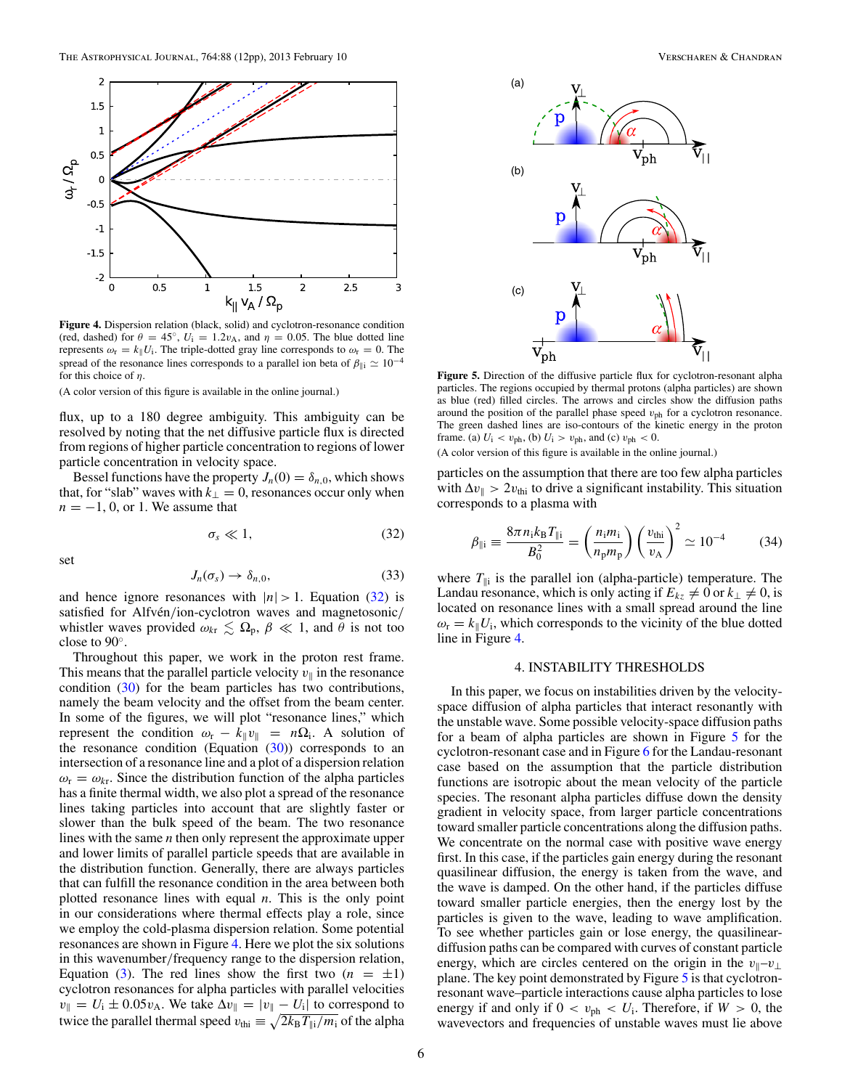<span id="page-5-0"></span>

**Figure 4.** Dispersion relation (black, solid) and cyclotron-resonance condition (red, dashed) for  $\theta = 45^\circ$ ,  $U_i = 1.2v_A$ , and  $\eta = 0.05$ . The blue dotted line represents  $\omega_r = k_{\parallel} U_i$ . The triple-dotted gray line corresponds to  $\omega_r = 0$ . The spread of the resonance lines corresponds to a parallel ion beta of  $\beta_{\parallel i} \simeq 10^{-4}$ for this choice of *η*.

flux, up to a 180 degree ambiguity. This ambiguity can be resolved by noting that the net diffusive particle flux is directed from regions of higher particle concentration to regions of lower particle concentration in velocity space.

Bessel functions have the property  $J_n(0) = \delta_{n,0}$ , which shows that, for "slab" waves with  $k_{\perp} = 0$ , resonances occur only when  $n = -1, 0$ , or 1. We assume that

$$
\sigma_s \ll 1,\tag{32}
$$

set

$$
J_n(\sigma_s) \to \delta_{n,0},\tag{33}
$$

and hence ignore resonances with  $|n| > 1$ . Equation (32) is satisfied for Alfvén/ion-cyclotron waves and magnetosonic/ whistler waves provided  $\omega_{kr} \leq \Omega_p$ ,  $\beta \ll 1$ , and  $\theta$  is not too close to 90◦.

Throughout this paper, we work in the proton rest frame. This means that the parallel particle velocity  $v_{\parallel}$  in the resonance condition [\(30\)](#page-4-0) for the beam particles has two contributions, namely the beam velocity and the offset from the beam center. In some of the figures, we will plot "resonance lines," which represent the condition  $\omega_r - k_{\parallel} v_{\parallel} = n\Omega_i$ . A solution of the resonance condition (Equation  $(30)$ ) corresponds to an intersection of a resonance line and a plot of a dispersion relation  $\omega_{\rm r} = \omega_{\rm kr}$ . Since the distribution function of the alpha particles has a finite thermal width, we also plot a spread of the resonance lines taking particles into account that are slightly faster or slower than the bulk speed of the beam. The two resonance lines with the same *n* then only represent the approximate upper and lower limits of parallel particle speeds that are available in the distribution function. Generally, there are always particles that can fulfill the resonance condition in the area between both plotted resonance lines with equal *n*. This is the only point in our considerations where thermal effects play a role, since we employ the cold-plasma dispersion relation. Some potential resonances are shown in Figure 4. Here we plot the six solutions in this wavenumber*/*frequency range to the dispersion relation, Equation [\(3\)](#page-1-0). The red lines show the first two  $(n = \pm 1)$ cyclotron resonances for alpha particles with parallel velocities  $v_{\parallel} = U_i \pm 0.05v_A$ . We take  $\Delta v_{\parallel} = |v_{\parallel} - U_i|$  to correspond to twice the parallel thermal speed  $v_{\text{thi}} \equiv \sqrt{2k_B T_{\parallel i}/m_i}$  of the alpha



**Figure 5.** Direction of the diffusive particle flux for cyclotron-resonant alpha particles. The regions occupied by thermal protons (alpha particles) are shown as blue (red) filled circles. The arrows and circles show the diffusion paths around the position of the parallel phase speed *v*ph for a cyclotron resonance. The green dashed lines are iso-contours of the kinetic energy in the proton frame. (a)  $U_i$  <  $v_{ph}$ , (b)  $U_i$  >  $v_{ph}$ , and (c)  $v_{ph}$  < 0.

(A color version of this figure is available in the online journal.)

particles on the assumption that there are too few alpha particles with  $\Delta v_{\parallel} > 2v_{\text{thi}}$  to drive a significant instability. This situation corresponds to a plasma with

$$
\beta_{\parallel i} \equiv \frac{8\pi n_i k_B T_{\parallel i}}{B_0^2} = \left(\frac{n_i m_i}{n_p m_p}\right) \left(\frac{v_{\text{thi}}}{v_A}\right)^2 \simeq 10^{-4} \tag{34}
$$

where  $T_{\parallel i}$  is the parallel ion (alpha-particle) temperature. The Landau resonance, which is only acting if  $E_{kz} \neq 0$  or  $k_{\perp} \neq 0$ , is located on resonance lines with a small spread around the line  $\omega_{\rm r} = k_{\parallel} U_{\rm i}$ , which corresponds to the vicinity of the blue dotted line in Figure 4.

### 4. INSTABILITY THRESHOLDS

In this paper, we focus on instabilities driven by the velocityspace diffusion of alpha particles that interact resonantly with the unstable wave. Some possible velocity-space diffusion paths for a beam of alpha particles are shown in Figure 5 for the cyclotron-resonant case and in Figure [6](#page-6-0) for the Landau-resonant case based on the assumption that the particle distribution functions are isotropic about the mean velocity of the particle species. The resonant alpha particles diffuse down the density gradient in velocity space, from larger particle concentrations toward smaller particle concentrations along the diffusion paths. We concentrate on the normal case with positive wave energy first. In this case, if the particles gain energy during the resonant quasilinear diffusion, the energy is taken from the wave, and the wave is damped. On the other hand, if the particles diffuse toward smaller particle energies, then the energy lost by the particles is given to the wave, leading to wave amplification. To see whether particles gain or lose energy, the quasilineardiffusion paths can be compared with curves of constant particle energy, which are circles centered on the origin in the  $v_{\parallel}-v_{\perp}$ plane. The key point demonstrated by Figure 5 is that cyclotronresonant wave–particle interactions cause alpha particles to lose energy if and only if  $0 < v_{ph} < U_i$ . Therefore, if  $W > 0$ , the wavevectors and frequencies of unstable waves must lie above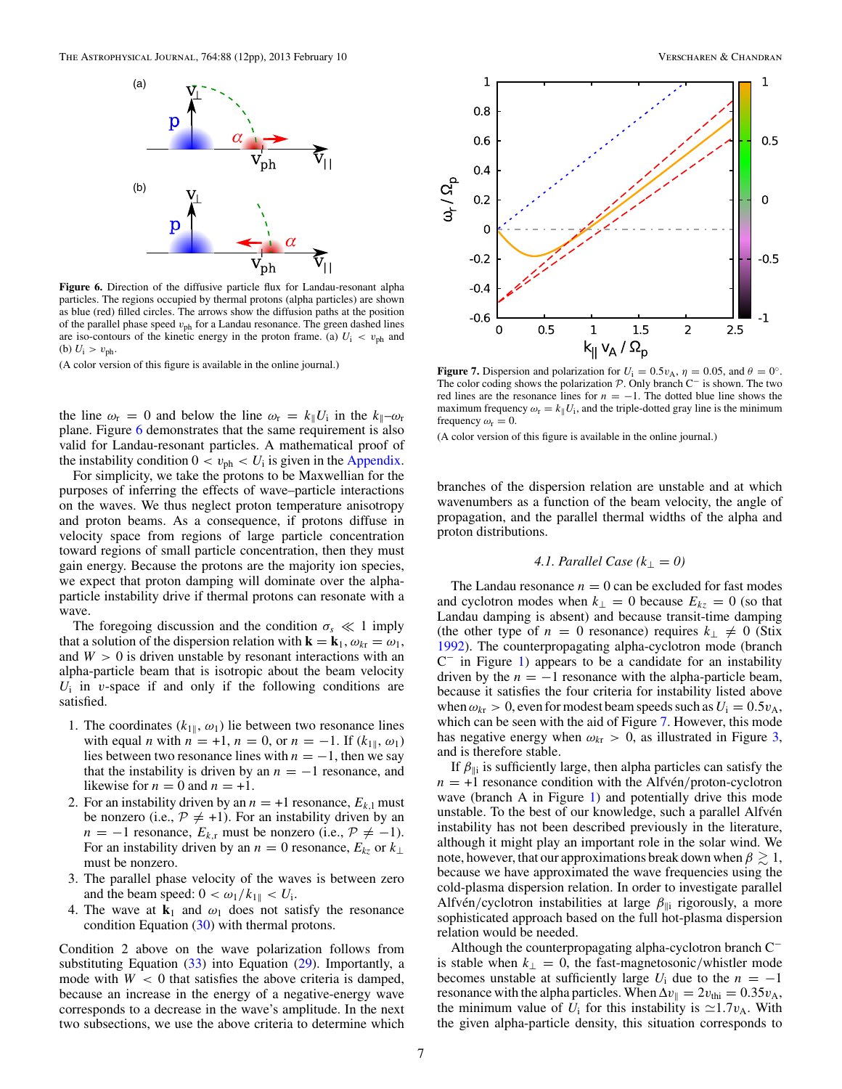<span id="page-6-0"></span>

**Figure 6.** Direction of the diffusive particle flux for Landau-resonant alpha particles. The regions occupied by thermal protons (alpha particles) are shown as blue (red) filled circles. The arrows show the diffusion paths at the position of the parallel phase speed *v*ph for a Landau resonance. The green dashed lines are iso-contours of the kinetic energy in the proton frame. (a)  $U_i \, < \, v_{\text{ph}}$  and (b)  $U_i > v_{ph}$ .

the line  $\omega_r = 0$  and below the line  $\omega_r = k_{\parallel} U_i$  in the  $k_{\parallel} - \omega_r$ plane. Figure 6 demonstrates that the same requirement is also valid for Landau-resonant particles. A mathematical proof of the instability condition  $0 < v_{ph} < U_i$  is given in the [Appendix.](#page-10-0)

For simplicity, we take the protons to be Maxwellian for the purposes of inferring the effects of wave–particle interactions on the waves. We thus neglect proton temperature anisotropy and proton beams. As a consequence, if protons diffuse in velocity space from regions of large particle concentration toward regions of small particle concentration, then they must gain energy. Because the protons are the majority ion species, we expect that proton damping will dominate over the alphaparticle instability drive if thermal protons can resonate with a wave.

The foregoing discussion and the condition  $\sigma_s \ll 1$  imply that a solution of the dispersion relation with  $\mathbf{k} = \mathbf{k}_1, \omega_{k\text{r}} = \omega_1$ , and  $W > 0$  is driven unstable by resonant interactions with an alpha-particle beam that is isotropic about the beam velocity  $U_i$  in *v*-space if and only if the following conditions are satisfied.

- 1. The coordinates  $(k_{1\parallel}, \omega_1)$  lie between two resonance lines with equal *n* with  $n = +1$ ,  $n = 0$ , or  $n = -1$ . If  $(k_{1\parallel}, \omega_1)$ lies between two resonance lines with  $n = -1$ , then we say that the instability is driven by an  $n = -1$  resonance, and likewise for  $n = 0$  and  $n = +1$ .
- 2. For an instability driven by an  $n = +1$  resonance,  $E_{k,1}$  must be nonzero (i.e.,  $P \neq +1$ ). For an instability driven by an  $n = -1$  resonance,  $E_{k,r}$  must be nonzero (i.e.,  $\mathcal{P} \neq -1$ ). For an instability driven by an  $n = 0$  resonance,  $E_{kz}$  or  $k_{\perp}$ must be nonzero.
- 3. The parallel phase velocity of the waves is between zero and the beam speed:  $0 < \omega_1/k_{1\parallel} < U_i$ .
- 4. The wave at  $\mathbf{k}_1$  and  $\omega_1$  does not satisfy the resonance condition Equation [\(30\)](#page-4-0) with thermal protons.

Condition 2 above on the wave polarization follows from substituting Equation  $(33)$  into Equation  $(29)$ . Importantly, a mode with  $W < 0$  that satisfies the above criteria is damped, because an increase in the energy of a negative-energy wave corresponds to a decrease in the wave's amplitude. In the next two subsections, we use the above criteria to determine which



**Figure 7.** Dispersion and polarization for  $U_i = 0.5v_A$ ,  $\eta = 0.05$ , and  $\theta = 0^\circ$ . The color coding shows the polarization P. Only branch C<sup>−</sup> is shown. The two red lines are the resonance lines for  $n = -1$ . The dotted blue line shows the maximum frequency  $\omega_r = k_{\parallel} U_i$ , and the triple-dotted gray line is the minimum frequency  $\omega_r = 0$ .

(A color version of this figure is available in the online journal.)

branches of the dispersion relation are unstable and at which wavenumbers as a function of the beam velocity, the angle of propagation, and the parallel thermal widths of the alpha and proton distributions.

## *4.1. Parallel Case*  $(k_{\perp} = 0)$

The Landau resonance  $n = 0$  can be excluded for fast modes and cyclotron modes when  $k_{\perp} = 0$  because  $E_{kz} = 0$  (so that Landau damping is absent) and because transit-time damping (the other type of  $n = 0$  resonance) requires  $k_{\perp} \neq 0$  (Stix [1992\)](#page-11-0). The counterpropagating alpha-cyclotron mode (branch  $C^-$  in Figure [1\)](#page-2-0) appears to be a candidate for an instability driven by the  $n = -1$  resonance with the alpha-particle beam, because it satisfies the four criteria for instability listed above when  $\omega_{kr} > 0$ , even for modest beam speeds such as  $U_i = 0.5 v_A$ , which can be seen with the aid of Figure 7. However, this mode has negative energy when  $\omega_{k\tau} > 0$ , as illustrated in Figure [3,](#page-4-0) and is therefore stable.

If  $\beta_{\parallel i}$  is sufficiently large, then alpha particles can satisfy the  $n = +1$  resonance condition with the Alfven/proton-cyclotron wave (branch A in Figure [1\)](#page-2-0) and potentially drive this mode unstable. To the best of our knowledge, such a parallel Alfvén instability has not been described previously in the literature, although it might play an important role in the solar wind. We note, however, that our approximations break down when  $\beta \gtrsim 1,$ because we have approximated the wave frequencies using the cold-plasma dispersion relation. In order to investigate parallel Alfvén/cyclotron instabilities at large  $\beta_{\parallel i}$  rigorously, a more sophisticated approach based on the full hot-plasma dispersion relation would be needed.

Although the counterpropagating alpha-cyclotron branch C<sup>−</sup> is stable when  $k_{\perp} = 0$ , the fast-magnetosonic/whistler mode becomes unstable at sufficiently large  $U_i$  due to the  $n = -1$ resonance with the alpha particles. When  $\Delta v_{\parallel} = 2v_{\text{thi}} = 0.35v_{\text{A}}$ , the minimum value of  $U_i$  for this instability is  $\approx 1.7 v_A$ . With the given alpha-particle density, this situation corresponds to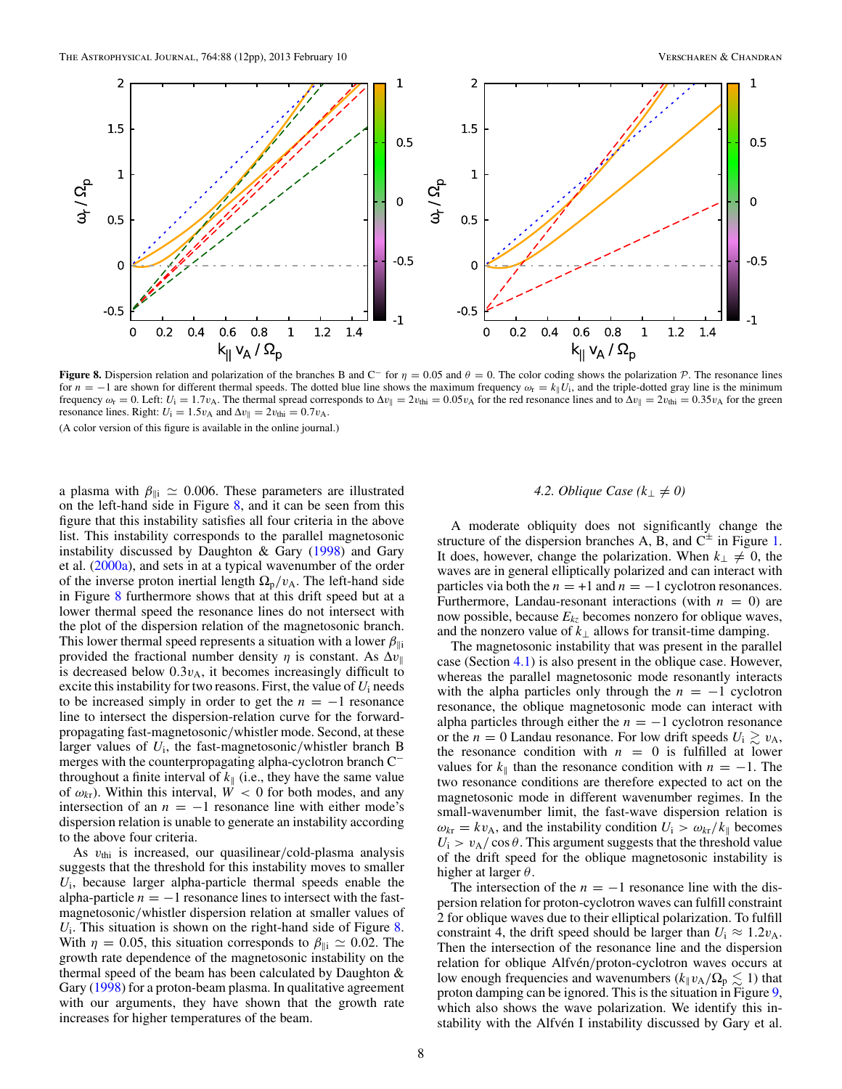<span id="page-7-0"></span>

**Figure 8.** Dispersion relation and polarization of the branches B and C<sup>−</sup> for  $\eta = 0.05$  and  $\theta = 0$ . The color coding shows the polarization P. The resonance lines for  $n = -1$  are shown for different thermal speeds. The dotted blue line shows the maximum frequency  $\omega_r = k_{\parallel} U_i$ , and the triple-dotted gray line is the minimum frequency  $\omega_r = 0$ . Left:  $U_i = 1.7v_A$ . The thermal spread corresponds to  $\Delta v_{\parallel} = 2v_{\text{th}} = 0.05v_A$  for the red resonance lines and to  $\Delta v_{\parallel} = 2v_{\text{th}} = 0.35v_A$  for the green resonance lines. Right:  $U_i = 1.5v_A$  and  $\Delta v_{\parallel} = 2v_{\text{thi}} = 0.7v_A$ .

a plasma with  $\beta_{\parallel i} \simeq 0.006$ . These parameters are illustrated on the left-hand side in Figure 8, and it can be seen from this figure that this instability satisfies all four criteria in the above list. This instability corresponds to the parallel magnetosonic instability discussed by Daughton & Gary [\(1998\)](#page-11-0) and Gary et al. [\(2000a\)](#page-11-0), and sets in at a typical wavenumber of the order of the inverse proton inertial length  $\Omega_{\rm p}/v_{\rm A}$ . The left-hand side in Figure 8 furthermore shows that at this drift speed but at a lower thermal speed the resonance lines do not intersect with the plot of the dispersion relation of the magnetosonic branch. This lower thermal speed represents a situation with a lower  $\beta_{\parallel i}$ provided the fractional number density  $\eta$  is constant. As  $\Delta v_{\parallel}$ is decreased below  $0.3v_A$ , it becomes increasingly difficult to excite this instability for two reasons. First, the value of *U*<sup>i</sup> needs to be increased simply in order to get the  $n = -1$  resonance line to intersect the dispersion-relation curve for the forwardpropagating fast-magnetosonic*/*whistler mode. Second, at these larger values of *U*i, the fast-magnetosonic*/*whistler branch B merges with the counterpropagating alpha-cyclotron branch C<sup>−</sup> throughout a finite interval of  $k_{\parallel}$  (i.e., they have the same value of  $\omega_{kr}$ ). Within this interval,  $W < 0$  for both modes, and any intersection of an  $n = -1$  resonance line with either mode's dispersion relation is unable to generate an instability according to the above four criteria.

As *v*thi is increased, our quasilinear*/*cold-plasma analysis suggests that the threshold for this instability moves to smaller *U*i, because larger alpha-particle thermal speeds enable the alpha-particle  $n = -1$  resonance lines to intersect with the fastmagnetosonic*/*whistler dispersion relation at smaller values of  $U_i$ . This situation is shown on the right-hand side of Figure 8. With  $\eta = 0.05$ , this situation corresponds to  $\beta_{\parallel i} \simeq 0.02$ . The growth rate dependence of the magnetosonic instability on the thermal speed of the beam has been calculated by Daughton & Gary [\(1998\)](#page-11-0) for a proton-beam plasma. In qualitative agreement with our arguments, they have shown that the growth rate increases for higher temperatures of the beam.

# *4.2. Oblique Case*  $(k_{\perp} \neq 0)$

A moderate obliquity does not significantly change the structure of the dispersion branches A, B, and  $C^{\pm}$  in Figure [1.](#page-2-0) It does, however, change the polarization. When  $k_{\perp} \neq 0$ , the waves are in general elliptically polarized and can interact with particles via both the  $n = +1$  and  $n = -1$  cyclotron resonances. Furthermore, Landau-resonant interactions (with  $n = 0$ ) are now possible, because *Ekz* becomes nonzero for oblique waves, and the nonzero value of  $k_{\perp}$  allows for transit-time damping.

The magnetosonic instability that was present in the parallel case (Section [4.1\)](#page-6-0) is also present in the oblique case. However, whereas the parallel magnetosonic mode resonantly interacts with the alpha particles only through the  $n = -1$  cyclotron resonance, the oblique magnetosonic mode can interact with alpha particles through either the  $n = -1$  cyclotron resonance or the *n* = 0 Landau resonance. For low drift speeds  $U_i \gtrsim v_A$ , the resonance condition with  $n = 0$  is fulfilled at lower values for  $k_{\parallel}$  than the resonance condition with  $n = -1$ . The two resonance conditions are therefore expected to act on the magnetosonic mode in different wavenumber regimes. In the small-wavenumber limit, the fast-wave dispersion relation is  $\omega_{k\tau} = k v_A$ , and the instability condition  $U_i > \omega_{k\tau}/k_{\parallel}$  becomes  $U_i > v_A / \cos \theta$ . This argument suggests that the threshold value of the drift speed for the oblique magnetosonic instability is higher at larger *θ*.

The intersection of the  $n = -1$  resonance line with the dispersion relation for proton-cyclotron waves can fulfill constraint 2 for oblique waves due to their elliptical polarization. To fulfill constraint 4, the drift speed should be larger than  $U_i \approx 1.2v_A$ . Then the intersection of the resonance line and the dispersion relation for oblique Alfvén/proton-cyclotron waves occurs at low enough frequencies and wavenumbers ( $k_{\parallel}v_{A}/\Omega_{p} \lesssim 1$ ) that proton damping can be ignored. This is the situation in Figure [9,](#page-8-0) which also shows the wave polarization. We identify this instability with the Alfvén I instability discussed by Gary et al.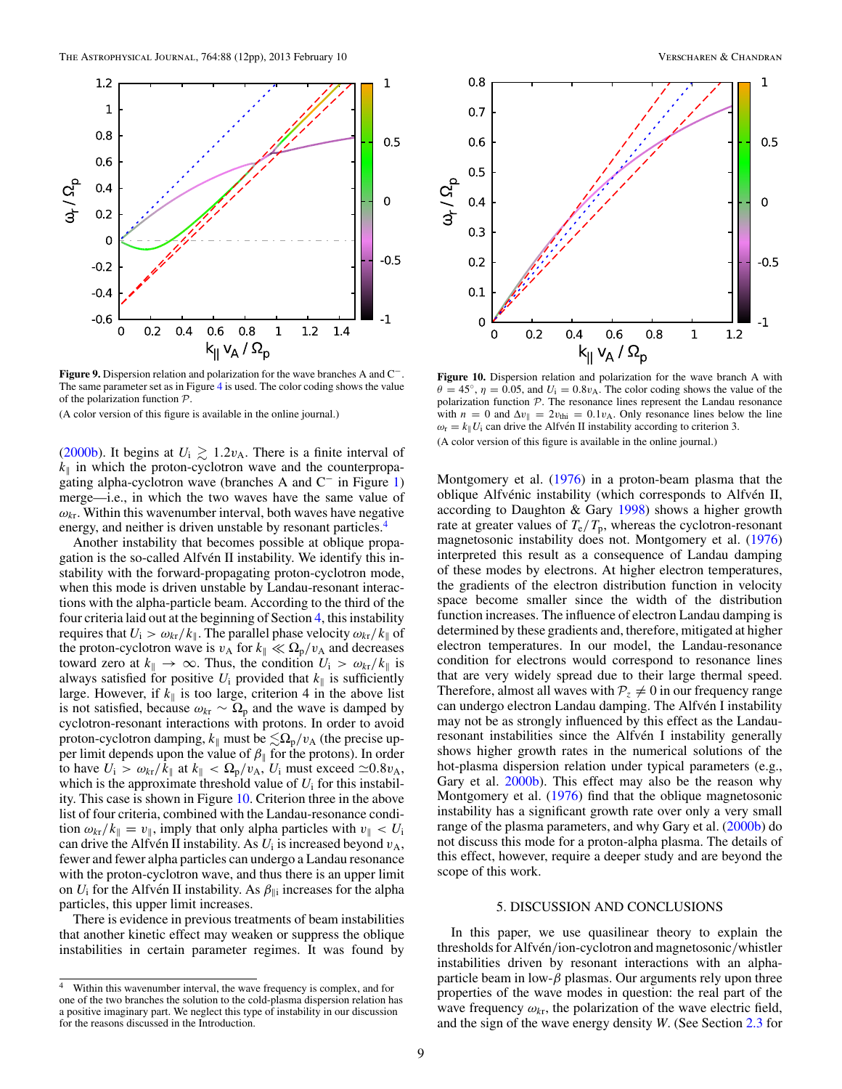<span id="page-8-0"></span>

**Figure 9.** Dispersion relation and polarization for the wave branches A and C−. The same parameter set as in Figure [4](#page-5-0) is used. The color coding shows the value of the polarization function P.

[\(2000b\)](#page-11-0). It begins at  $U_i \gtrsim 1.2v_A$ . There is a finite interval of  $k_{\parallel}$  in which the proton-cyclotron wave and the counterpropagating alpha-cyclotron wave (branches A and C<sup>−</sup> in Figure [1\)](#page-2-0) merge—i.e., in which the two waves have the same value of  $\omega_{kr}$ . Within this wavenumber interval, both waves have negative energy, and neither is driven unstable by resonant particles.<sup>4</sup>

Another instability that becomes possible at oblique propagation is the so-called Alfvén II instability. We identify this instability with the forward-propagating proton-cyclotron mode, when this mode is driven unstable by Landau-resonant interactions with the alpha-particle beam. According to the third of the four criteria laid out at the beginning of Section [4,](#page-5-0) this instability requires that  $U_i > \omega_{kr}/k_{\parallel}$ . The parallel phase velocity  $\omega_{kr}/k_{\parallel}$  of the proton-cyclotron wave is  $v_A$  for  $k_{\parallel} \ll \Omega_p/v_A$  and decreases toward zero at  $k_{\parallel} \rightarrow \infty$ . Thus, the condition  $U_i > \omega_{k} / k_{\parallel}$  is always satisfied for positive  $U_i$  provided that  $k_{\parallel}$  is sufficiently large. However, if  $k_{\parallel}$  is too large, criterion 4 in the above list is not satisfied, because  $\omega_{kr} \sim \Omega_p$  and the wave is damped by cyclotron-resonant interactions with protons. In order to avoid proton-cyclotron damping,  $k_{\parallel}$  must be  $\leq \Omega_p/v_A$  (the precise upper limit depends upon the value of  $\beta_{\parallel}$  for the protons). In order to have  $U_i > \omega_{kr}/k_{\parallel}$  at  $k_{\parallel} < \Omega_p/v_A$ ,  $U_i$  must exceed  $\simeq 0.8v_A$ , which is the approximate threshold value of  $U_i$  for this instability. This case is shown in Figure 10. Criterion three in the above list of four criteria, combined with the Landau-resonance condition  $\omega_{k}$  / $k_{\parallel} = v_{\parallel}$ , imply that only alpha particles with  $v_{\parallel} < U_i$ can drive the Alfven II instability. As  $U_i$  is increased beyond  $v_A$ , fewer and fewer alpha particles can undergo a Landau resonance with the proton-cyclotron wave, and thus there is an upper limit on  $U_i$  for the Alfven II instability. As  $\beta_{\parallel i}$  increases for the alpha particles, this upper limit increases.

There is evidence in previous treatments of beam instabilities that another kinetic effect may weaken or suppress the oblique instabilities in certain parameter regimes. It was found by



**Figure 10.** Dispersion relation and polarization for the wave branch A with  $\theta = 45^\circ$ ,  $\eta = 0.05$ , and  $U_i = 0.8v_A$ . The color coding shows the value of the polarization function P. The resonance lines represent the Landau resonance with  $n = 0$  and  $\Delta v_{\parallel} = 2v_{\text{thi}} = 0.1v_{\text{A}}$ . Only resonance lines below the line  $\omega_r = k_{\parallel} U_i$  can drive the Alfven II instability according to criterion 3. (A color version of this figure is available in the online journal.)

Montgomery et al. [\(1976\)](#page-11-0) in a proton-beam plasma that the oblique Alfvénic instability (which corresponds to Alfvén II, according to Daughton & Gary [1998\)](#page-11-0) shows a higher growth rate at greater values of  $T_e/T_p$ , whereas the cyclotron-resonant magnetosonic instability does not. Montgomery et al. [\(1976\)](#page-11-0) interpreted this result as a consequence of Landau damping of these modes by electrons. At higher electron temperatures, the gradients of the electron distribution function in velocity space become smaller since the width of the distribution function increases. The influence of electron Landau damping is determined by these gradients and, therefore, mitigated at higher electron temperatures. In our model, the Landau-resonance condition for electrons would correspond to resonance lines that are very widely spread due to their large thermal speed. Therefore, almost all waves with  $P_z \neq 0$  in our frequency range can undergo electron Landau damping. The Alfvén I instability may not be as strongly influenced by this effect as the Landauresonant instabilities since the Alfvén I instability generally shows higher growth rates in the numerical solutions of the hot-plasma dispersion relation under typical parameters (e.g., Gary et al. [2000b\)](#page-11-0). This effect may also be the reason why Montgomery et al. [\(1976\)](#page-11-0) find that the oblique magnetosonic instability has a significant growth rate over only a very small range of the plasma parameters, and why Gary et al. [\(2000b\)](#page-11-0) do not discuss this mode for a proton-alpha plasma. The details of this effect, however, require a deeper study and are beyond the scope of this work.

### 5. DISCUSSION AND CONCLUSIONS

In this paper, we use quasilinear theory to explain the thresholds for Alfvén/ion-cyclotron and magnetosonic/whistler instabilities driven by resonant interactions with an alphaparticle beam in low-*β* plasmas. Our arguments rely upon three properties of the wave modes in question: the real part of the wave frequency  $\omega_{kr}$ , the polarization of the wave electric field, and the sign of the wave energy density *W*. (See Section [2.3](#page-3-0) for

<sup>&</sup>lt;sup>4</sup> Within this wavenumber interval, the wave frequency is complex, and for one of the two branches the solution to the cold-plasma dispersion relation has a positive imaginary part. We neglect this type of instability in our discussion for the reasons discussed in the Introduction.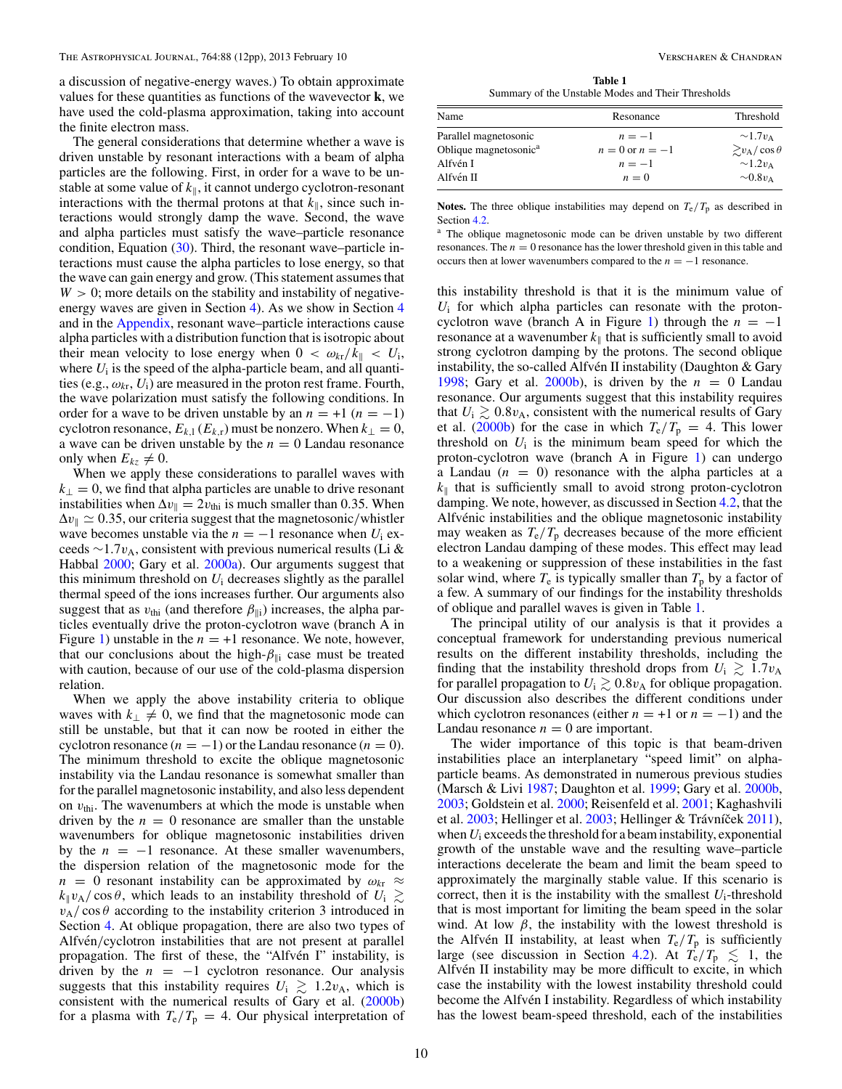a discussion of negative-energy waves.) To obtain approximate values for these quantities as functions of the wavevector **k**, we have used the cold-plasma approximation, taking into account the finite electron mass.

The general considerations that determine whether a wave is driven unstable by resonant interactions with a beam of alpha particles are the following. First, in order for a wave to be unstable at some value of  $k_{\parallel}$ , it cannot undergo cyclotron-resonant interactions with the thermal protons at that  $k_{\parallel}$ , since such interactions would strongly damp the wave. Second, the wave and alpha particles must satisfy the wave–particle resonance condition, Equation [\(30\)](#page-4-0). Third, the resonant wave–particle interactions must cause the alpha particles to lose energy, so that the wave can gain energy and grow. (This statement assumes that  $W > 0$ ; more details on the stability and instability of negativeenergy waves are given in Section [4\)](#page-5-0). As we show in Section [4](#page-5-0) and in the [Appendix,](#page-10-0) resonant wave–particle interactions cause alpha particles with a distribution function that is isotropic about their mean velocity to lose energy when  $0 < \omega_{k} / k_{\parallel} < U_i$ , where  $U_i$  is the speed of the alpha-particle beam, and all quantities (e.g.,  $\omega_{k\tau}$ ,  $U_i$ ) are measured in the proton rest frame. Fourth, the wave polarization must satisfy the following conditions. In order for a wave to be driven unstable by an  $n = +1$  ( $n = -1$ ) cyclotron resonance,  $E_{k,1}(E_{k,r})$  must be nonzero. When  $k_{\perp} = 0$ , a wave can be driven unstable by the  $n = 0$  Landau resonance only when  $E_{kz} \neq 0$ .

When we apply these considerations to parallel waves with  $k_{\perp} = 0$ , we find that alpha particles are unable to drive resonant instabilities when  $\Delta v_{\parallel} = 2v_{\text{thi}}$  is much smaller than 0.35. When  $\Delta v_{\parallel} \simeq 0.35$ , our criteria suggest that the magnetosonic/whistler wave becomes unstable via the  $n = -1$  resonance when  $U_i$  exceeds ∼1*.*7*v*A, consistent with previous numerical results (Li & Habbal [2000;](#page-11-0) Gary et al. [2000a\)](#page-11-0). Our arguments suggest that this minimum threshold on  $U_i$  decreases slightly as the parallel thermal speed of the ions increases further. Our arguments also suggest that as  $v_{\text{thi}}$  (and therefore  $\beta_{\parallel i}$ ) increases, the alpha particles eventually drive the proton-cyclotron wave (branch A in Figure [1\)](#page-2-0) unstable in the  $n = +1$  resonance. We note, however, that our conclusions about the high- $\beta_{\parallel i}$  case must be treated with caution, because of our use of the cold-plasma dispersion relation.

When we apply the above instability criteria to oblique waves with  $k_{\perp} \neq 0$ , we find that the magnetosonic mode can still be unstable, but that it can now be rooted in either the cyclotron resonance  $(n = -1)$  or the Landau resonance  $(n = 0)$ . The minimum threshold to excite the oblique magnetosonic instability via the Landau resonance is somewhat smaller than for the parallel magnetosonic instability, and also less dependent on *v*thi. The wavenumbers at which the mode is unstable when driven by the  $n = 0$  resonance are smaller than the unstable wavenumbers for oblique magnetosonic instabilities driven by the  $n = -1$  resonance. At these smaller wavenumbers, the dispersion relation of the magnetosonic mode for the  $n = 0$  resonant instability can be approximated by  $\omega_{k\tau} \approx$  $k_{\parallel}v_{\rm A}/\cos\theta$ , which leads to an instability threshold of  $U_i \gtrsim$  $v_A$ / cos  $\theta$  according to the instability criterion 3 introduced in Section [4.](#page-5-0) At oblique propagation, there are also two types of Alfvén/cyclotron instabilities that are not present at parallel propagation. The first of these, the "Alfvén I" instability, is driven by the  $n = -1$  cyclotron resonance. Our analysis suggests that this instability requires  $U_i \gtrsim 1.2v_A$ , which is consistent with the numerical results of Gary et al. [\(2000b\)](#page-11-0) for a plasma with  $T_e/T_p = 4$ . Our physical interpretation of

**Table 1** Summary of the Unstable Modes and Their Thresholds

| Resonance           | Threshold                   |
|---------------------|-----------------------------|
| $n=-1$              | $\sim 1.7 v_{\rm A}$        |
| $n = 0$ or $n = -1$ | $\geq v_{\rm A}/\cos\theta$ |
| $n=-1$              | $\sim$ 1.2 $v_A$            |
| $n=0$               | $\sim 0.8 v_{\rm A}$        |
|                     |                             |

**Notes.** The three oblique instabilities may depend on  $T_e/T_p$  as described in Section [4.2.](#page-7-0)

<sup>a</sup> The oblique magnetosonic mode can be driven unstable by two different resonances. The  $n = 0$  resonance has the lower threshold given in this table and occurs then at lower wavenumbers compared to the  $n = -1$  resonance.

this instability threshold is that it is the minimum value of  $U_i$  for which alpha particles can resonate with the proton-cyclotron wave (branch A in Figure [1\)](#page-2-0) through the  $n = -1$ resonance at a wavenumber  $k_{\parallel}$  that is sufficiently small to avoid strong cyclotron damping by the protons. The second oblique instability, the so-called Alfvén II instability (Daughton  $&$  Gary [1998;](#page-11-0) Gary et al. [2000b\)](#page-11-0), is driven by the  $n = 0$  Landau resonance. Our arguments suggest that this instability requires that  $U_i \gtrsim 0.8 v_A$ , consistent with the numerical results of Gary et al. [\(2000b\)](#page-11-0) for the case in which  $T_e/T_p = 4$ . This lower threshold on  $U_i$  is the minimum beam speed for which the proton-cyclotron wave (branch A in Figure [1\)](#page-2-0) can undergo a Landau  $(n = 0)$  resonance with the alpha particles at a  $k_{\parallel}$  that is sufficiently small to avoid strong proton-cyclotron damping. We note, however, as discussed in Section [4.2,](#page-7-0) that the Alfvénic instabilities and the oblique magnetosonic instability may weaken as  $T_e/T_p$  decreases because of the more efficient electron Landau damping of these modes. This effect may lead to a weakening or suppression of these instabilities in the fast solar wind, where  $T_e$  is typically smaller than  $T_p$  by a factor of a few. A summary of our findings for the instability thresholds of oblique and parallel waves is given in Table 1.

The principal utility of our analysis is that it provides a conceptual framework for understanding previous numerical results on the different instability thresholds, including the finding that the instability threshold drops from  $U_i \gtrsim 1.7v_A$ for parallel propagation to  $U_i \gtrsim 0.8 v_A$  for oblique propagation. Our discussion also describes the different conditions under which cyclotron resonances (either  $n = +1$  or  $n = -1$ ) and the Landau resonance  $n = 0$  are important.

The wider importance of this topic is that beam-driven instabilities place an interplanetary "speed limit" on alphaparticle beams. As demonstrated in numerous previous studies (Marsch & Livi [1987;](#page-11-0) Daughton et al. [1999;](#page-11-0) Gary et al. [2000b,](#page-11-0) [2003;](#page-11-0) Goldstein et al. [2000;](#page-11-0) Reisenfeld et al. [2001;](#page-11-0) Kaghashvili et al.  $2003$ ; Hellinger et al.  $2003$ ; Hellinger & Trávníček  $2011$ ), when *U*<sup>i</sup> exceeds the threshold for a beam instability, exponential growth of the unstable wave and the resulting wave–particle interactions decelerate the beam and limit the beam speed to approximately the marginally stable value. If this scenario is correct, then it is the instability with the smallest  $U_i$ -threshold that is most important for limiting the beam speed in the solar wind. At low  $\beta$ , the instability with the lowest threshold is the Alfven II instability, at least when  $T_e/T_p$  is sufficiently large (see discussion in Section [4.2\)](#page-7-0). At  $T_e/T_p \leq 1$ , the Alfvén II instability may be more difficult to excite, in which case the instability with the lowest instability threshold could become the Alfvén I instability. Regardless of which instability has the lowest beam-speed threshold, each of the instabilities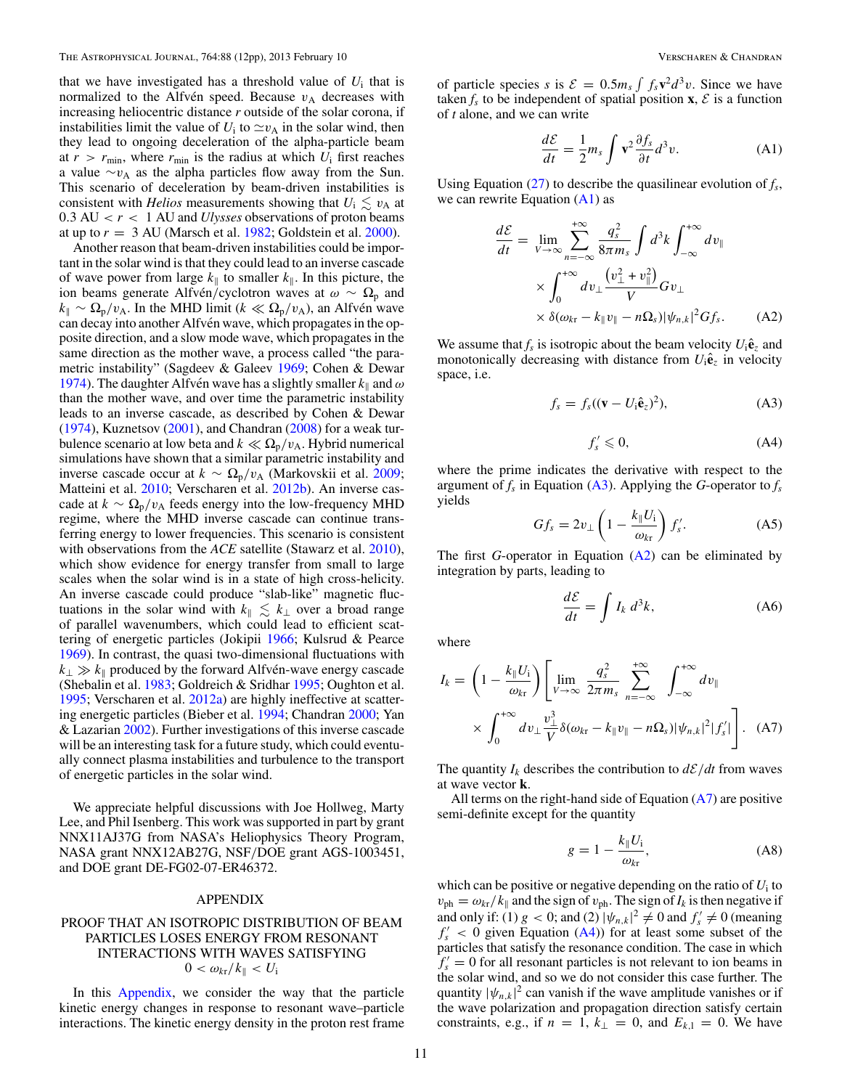<span id="page-10-0"></span>that we have investigated has a threshold value of  $U_i$  that is normalized to the Alfvén speed. Because  $v_A$  decreases with increasing heliocentric distance *r* outside of the solar corona, if instabilities limit the value of  $U_i$  to  $\simeq v_A$  in the solar wind, then they lead to ongoing deceleration of the alpha-particle beam at  $r > r_{\text{min}}$ , where  $r_{\text{min}}$  is the radius at which  $U_i$  first reaches a value  $\sim v_A$  as the alpha particles flow away from the Sun. This scenario of deceleration by beam-driven instabilities is consistent with *Helios* measurements showing that  $U_i \leq v_A$  at 0.3 AU  $\langle r \rangle$  1 AU and *Ulysses* observations of proton beams at up to  $r = 3$  AU (Marsch et al. [1982;](#page-11-0) Goldstein et al. [2000\)](#page-11-0).

Another reason that beam-driven instabilities could be important in the solar wind is that they could lead to an inverse cascade of wave power from large  $k_{\parallel}$  to smaller  $k_{\parallel}$ . In this picture, the ion beams generate Alfvén/cyclotron waves at *ω* ∼  $\Omega$ <sub>p</sub> and  $k_{\parallel} \sim \Omega_{\rm p}/v_{\rm A}$ . In the MHD limit ( $k \ll \Omega_{\rm p}/v_{\rm A}$ ), an Alfvén wave can decay into another Alfvén wave, which propagates in the opposite direction, and a slow mode wave, which propagates in the same direction as the mother wave, a process called "the parametric instability" (Sagdeev & Galeev [1969;](#page-11-0) Cohen & Dewar [1974\)](#page-11-0). The daughter Alfvén wave has a slightly smaller  $k_{\parallel}$  and  $\omega$ than the mother wave, and over time the parametric instability leads to an inverse cascade, as described by Cohen & Dewar [\(1974\)](#page-11-0), Kuznetsov [\(2001\)](#page-11-0), and Chandran [\(2008\)](#page-11-0) for a weak turbulence scenario at low beta and  $k \ll \Omega_p/v_A$ . Hybrid numerical simulations have shown that a similar parametric instability and inverse cascade occur at  $k \sim \Omega_{\rm p}/v_{\rm A}$  (Markovskii et al. [2009;](#page-11-0) Matteini et al. [2010;](#page-11-0) Verscharen et al. [2012b\)](#page-11-0). An inverse cascade at  $k \sim \Omega_p/v_A$  feeds energy into the low-frequency MHD regime, where the MHD inverse cascade can continue transferring energy to lower frequencies. This scenario is consistent with observations from the *ACE* satellite (Stawarz et al. [2010\)](#page-11-0), which show evidence for energy transfer from small to large scales when the solar wind is in a state of high cross-helicity. An inverse cascade could produce "slab-like" magnetic fluctuations in the solar wind with  $k_{\parallel} \leq k_{\perp}$  over a broad range of parallel wavenumbers, which could lead to efficient scattering of energetic particles (Jokipii [1966;](#page-11-0) Kulsrud & Pearce [1969\)](#page-11-0). In contrast, the quasi two-dimensional fluctuations with  $k_{\perp} \gg k_{\parallel}$  produced by the forward Alfvén-wave energy cascade (Shebalin et al. [1983;](#page-11-0) Goldreich & Sridhar [1995;](#page-11-0) Oughton et al. [1995;](#page-11-0) Verscharen et al. [2012a\)](#page-11-0) are highly ineffective at scattering energetic particles (Bieber et al. [1994;](#page-11-0) Chandran [2000;](#page-11-0) Yan & Lazarian [2002\)](#page-11-0). Further investigations of this inverse cascade will be an interesting task for a future study, which could eventually connect plasma instabilities and turbulence to the transport of energetic particles in the solar wind.

We appreciate helpful discussions with Joe Hollweg, Marty Lee, and Phil Isenberg. This work was supported in part by grant NNX11AJ37G from NASA's Heliophysics Theory Program, NASA grant NNX12AB27G, NSF*/*DOE grant AGS-1003451, and DOE grant DE-FG02-07-ER46372.

### APPENDIX

# PROOF THAT AN ISOTROPIC DISTRIBUTION OF BEAM PARTICLES LOSES ENERGY FROM RESONANT INTERACTIONS WITH WAVES SATISFYING  $0 < \omega_{\text{kr}}/k_{\parallel} < U_{\text{i}}$

In this Appendix, we consider the way that the particle kinetic energy changes in response to resonant wave–particle interactions. The kinetic energy density in the proton rest frame

of particle species *s* is  $\mathcal{E} = 0.5m_s \int f_s \mathbf{v}^2 d^3 v$ . Since we have taken  $f_s$  to be independent of spatial position  $\mathbf{x}, \mathcal{E}$  is a function of *t* alone, and we can write

$$
\frac{d\mathcal{E}}{dt} = \frac{1}{2}m_s \int \mathbf{v}^2 \frac{\partial f_s}{\partial t} d^3 v.
$$
 (A1)

Using Equation  $(27)$  to describe the quasilinear evolution of  $f_s$ , we can rewrite Equation  $(A1)$  as

$$
\frac{d\mathcal{E}}{dt} = \lim_{V \to \infty} \sum_{n = -\infty}^{+\infty} \frac{q_s^2}{8\pi m_s} \int d^3k \int_{-\infty}^{+\infty} dv_{\parallel}
$$

$$
\times \int_0^{+\infty} dv_{\perp} \frac{\left(v_{\perp}^2 + v_{\parallel}^2\right)}{V} G v_{\perp}
$$

$$
\times \delta(\omega_{kr} - k_{\parallel} v_{\parallel} - n\Omega_s) |\psi_{n,k}|^2 G f_s. \tag{A2}
$$

We assume that  $f_s$  is isotropic about the beam velocity  $U_i \hat{\mathbf{e}}_z$  and monotonically decreasing with distance from  $U_i \hat{\mathbf{e}}_z$  in velocity space, i.e.

$$
f_s = f_s((\mathbf{v} - U_i \hat{\mathbf{e}}_z)^2), \tag{A3}
$$

$$
f'_s \leqslant 0,\tag{A4}
$$

where the prime indicates the derivative with respect to the argument of  $f_s$  in Equation (A3). Applying the *G*-operator to  $f_s$ yields

$$
Gf_s = 2v_\perp \left(1 - \frac{k_\parallel U_i}{\omega_{k\tau}}\right) f'_s.
$$
 (A5)

The first *G*-operator in Equation (A2) can be eliminated by integration by parts, leading to

$$
\frac{d\mathcal{E}}{dt} = \int I_k \, d^3k,\tag{A6}
$$

where

$$
I_k = \left(1 - \frac{k_{\parallel} U_i}{\omega_{k\tau}}\right) \left[ \lim_{V \to \infty} \frac{q_s^2}{2\pi m_s} \sum_{n=-\infty}^{+\infty} \int_{-\infty}^{+\infty} dv_{\parallel} \times \int_{0}^{+\infty} dv_{\perp} \frac{v_{\perp}^3}{V} \delta(\omega_{k\tau} - k_{\parallel} v_{\parallel} - n\Omega_s) |\psi_{n,k}|^2 |f'_s| \right].
$$
 (A7)

The quantity  $I_k$  describes the contribution to  $d\mathcal{E}/dt$  from waves at wave vector **k**.

All terms on the right-hand side of Equation  $(A7)$  are positive semi-definite except for the quantity

$$
g = 1 - \frac{k_{\parallel} U_{\rm i}}{\omega_{\rm kr}},\tag{A8}
$$

which can be positive or negative depending on the ratio of *U*<sup>i</sup> to  $v_{\rm ph} = \omega_{\rm kr}/k_{\parallel}$  and the sign of  $v_{\rm ph}$ . The sign of  $I_k$  is then negative if and only if: (1)  $g < 0$ ; and (2)  $|\psi_{n,k}|^2 \neq 0$  and  $f'_s \neq 0$  (meaning  $f'_{s}$  < 0 given Equation (A4)) for at least some subset of the particles that satisfy the resonance condition. The case in which  $f'_{s} = 0$  for all resonant particles is not relevant to ion beams in the solar wind, and so we do not consider this case further. The quantity  $|\psi_{n,k}|^2$  can vanish if the wave amplitude vanishes or if the wave polarization and propagation direction satisfy certain constraints, e.g., if  $n = 1$ ,  $k_{\perp} = 0$ , and  $E_{k,1} = 0$ . We have